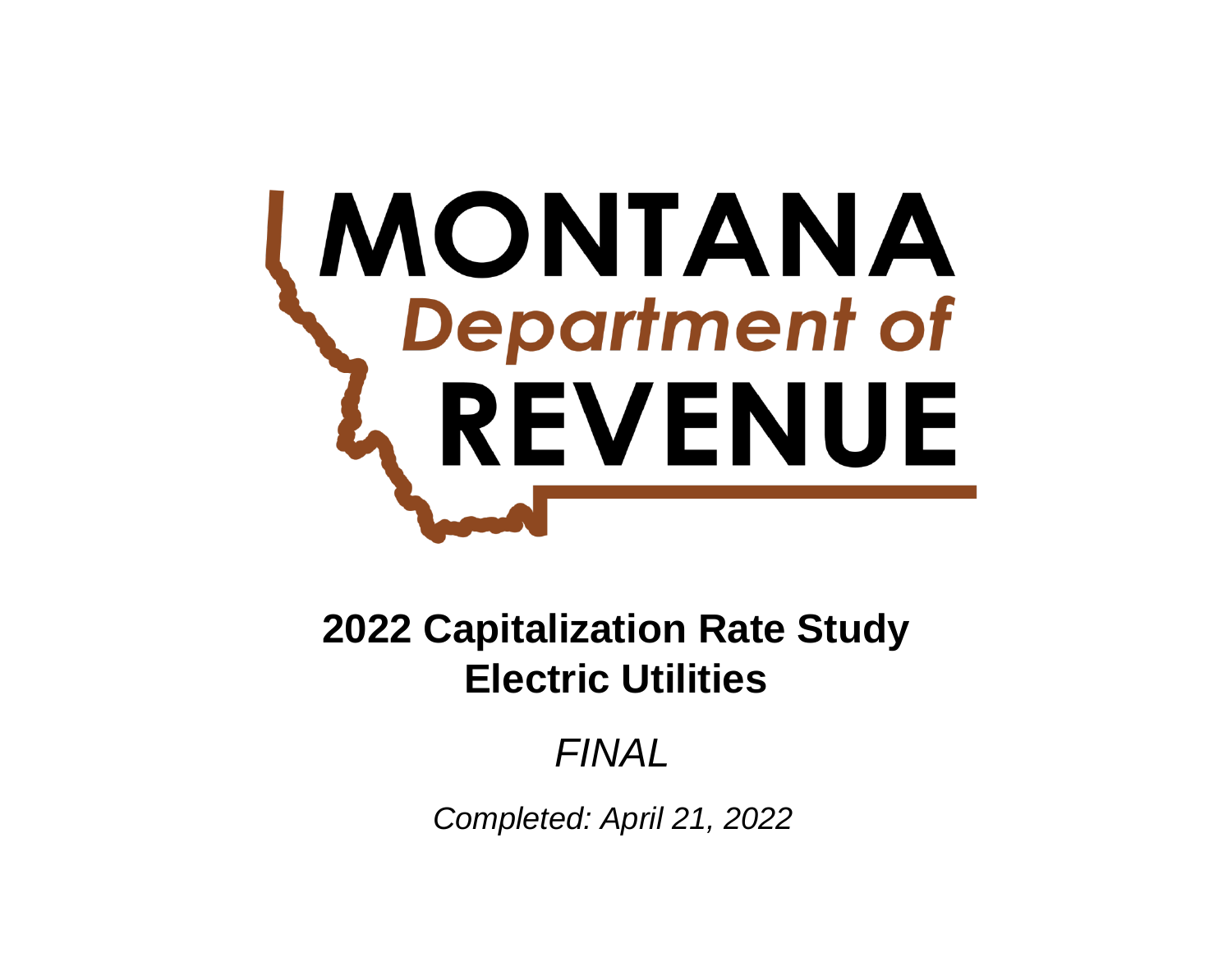# **MONTANA**<br>
Department of REVENUE

# **Electric Utilities 2022 Capitalization Rate Study**

# *FINAL*

*Completed: April 21, 2022*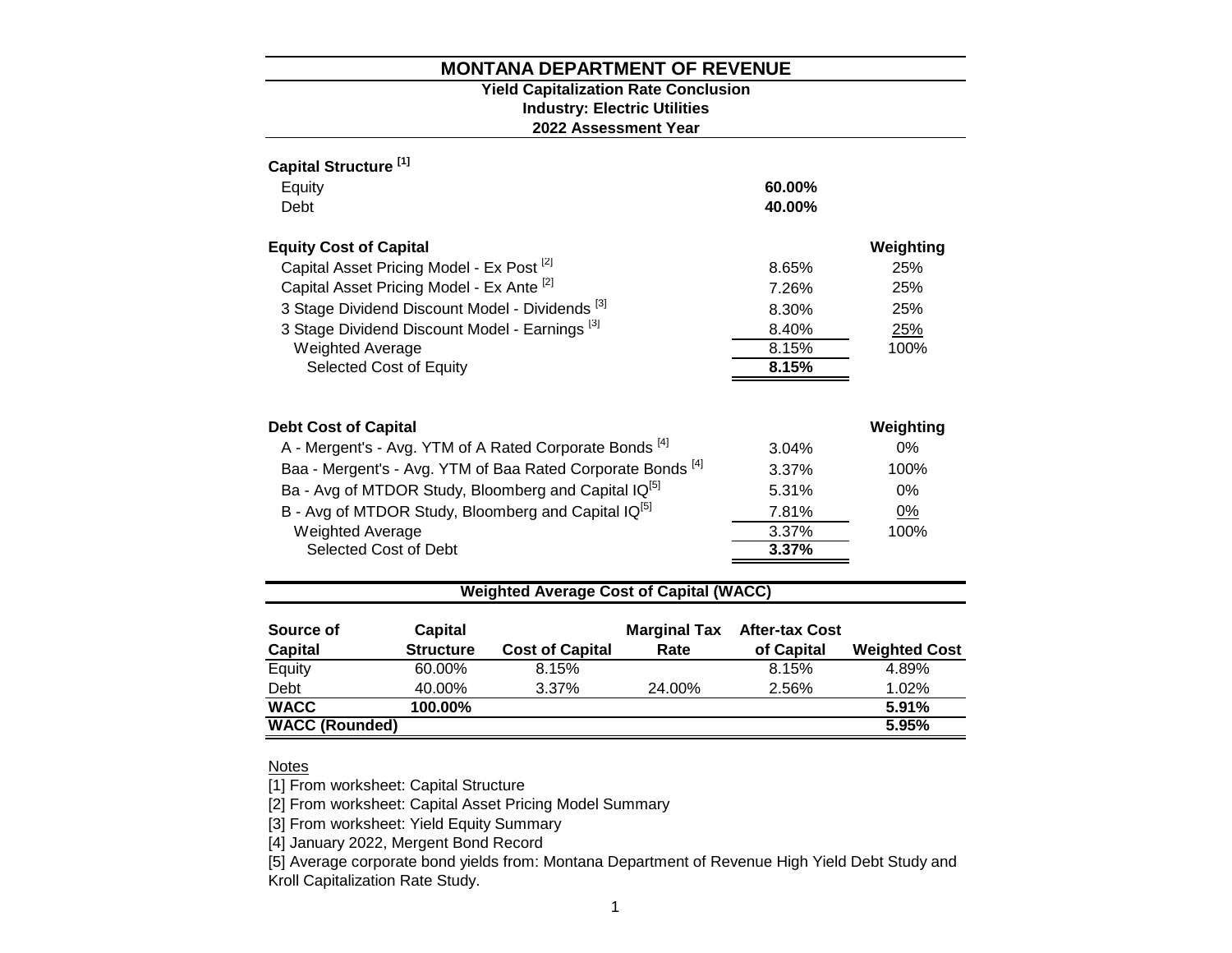#### **2022 Assessment Year Industry: Electric Utilities Yield Capitalization Rate Conclusion**

| Capital Structure <sup>[1]</sup>                                       |          |           |
|------------------------------------------------------------------------|----------|-----------|
| Equity                                                                 | 60.00%   |           |
| Debt                                                                   | 40.00%   |           |
| <b>Equity Cost of Capital</b>                                          |          | Weighting |
| Capital Asset Pricing Model - Ex Post <sup>[2]</sup>                   | 8.65%    | 25%       |
| Capital Asset Pricing Model - Ex Ante [2]                              | 7.26%    | 25%       |
| 3 Stage Dividend Discount Model - Dividends [3]                        | 8.30%    | 25%       |
| 3 Stage Dividend Discount Model - Earnings <sup>[3]</sup>              | 8.40%    | 25%       |
| <b>Weighted Average</b>                                                | 8.15%    | 100%      |
| Selected Cost of Equity                                                | 8.15%    |           |
|                                                                        |          |           |
| <b>Debt Cost of Capital</b>                                            |          | Weighting |
| A - Mergent's - Avg. YTM of A Rated Corporate Bonds <sup>[4]</sup>     | 3.04%    | $0\%$     |
| Baa - Mergent's - Avg. YTM of Baa Rated Corporate Bonds <sup>[4]</sup> | $3.37\%$ | 100%      |
| Ba - Avg of MTDOR Study, Bloomberg and Capital IQ <sup>[5]</sup>       | 5.31%    | $0\%$     |
| B - Avg of MTDOR Study, Bloomberg and Capital IQ <sup>[5]</sup>        | 7.81%    | 0%        |
| <b>Weighted Average</b>                                                | 3.37%    | 100%      |
| Selected Cost of Debt                                                  | 3.37%    |           |
|                                                                        |          |           |

## **Weighted Average Cost of Capital (WACC)**

| Source of<br><b>Capital</b> | Capital<br><b>Structure</b> | <b>Cost of Capital</b> | <b>Marginal Tax</b><br>Rate | <b>After-tax Cost</b><br>of Capital | <b>Weighted Cost</b> |
|-----------------------------|-----------------------------|------------------------|-----------------------------|-------------------------------------|----------------------|
| Equity                      | 60.00%                      | 8.15%                  |                             | 8.15%                               | 4.89%                |
| Debt                        | 40.00%                      | 3.37%                  | 24.00%                      | 2.56%                               | 1.02%                |
| <b>WACC</b>                 | 100.00%                     |                        |                             |                                     | 5.91%                |
| <b>WACC (Rounded)</b>       |                             |                        |                             |                                     | 5.95%                |

# Notes

[1] From worksheet: Capital Structure

[2] From worksheet: Capital Asset Pricing Model Summary

[3] From worksheet: Yield Equity Summary

[4] January 2022, Mergent Bond Record

[5] Average corporate bond yields from: Montana Department of Revenue High Yield Debt Study and Kroll Capitalization Rate Study.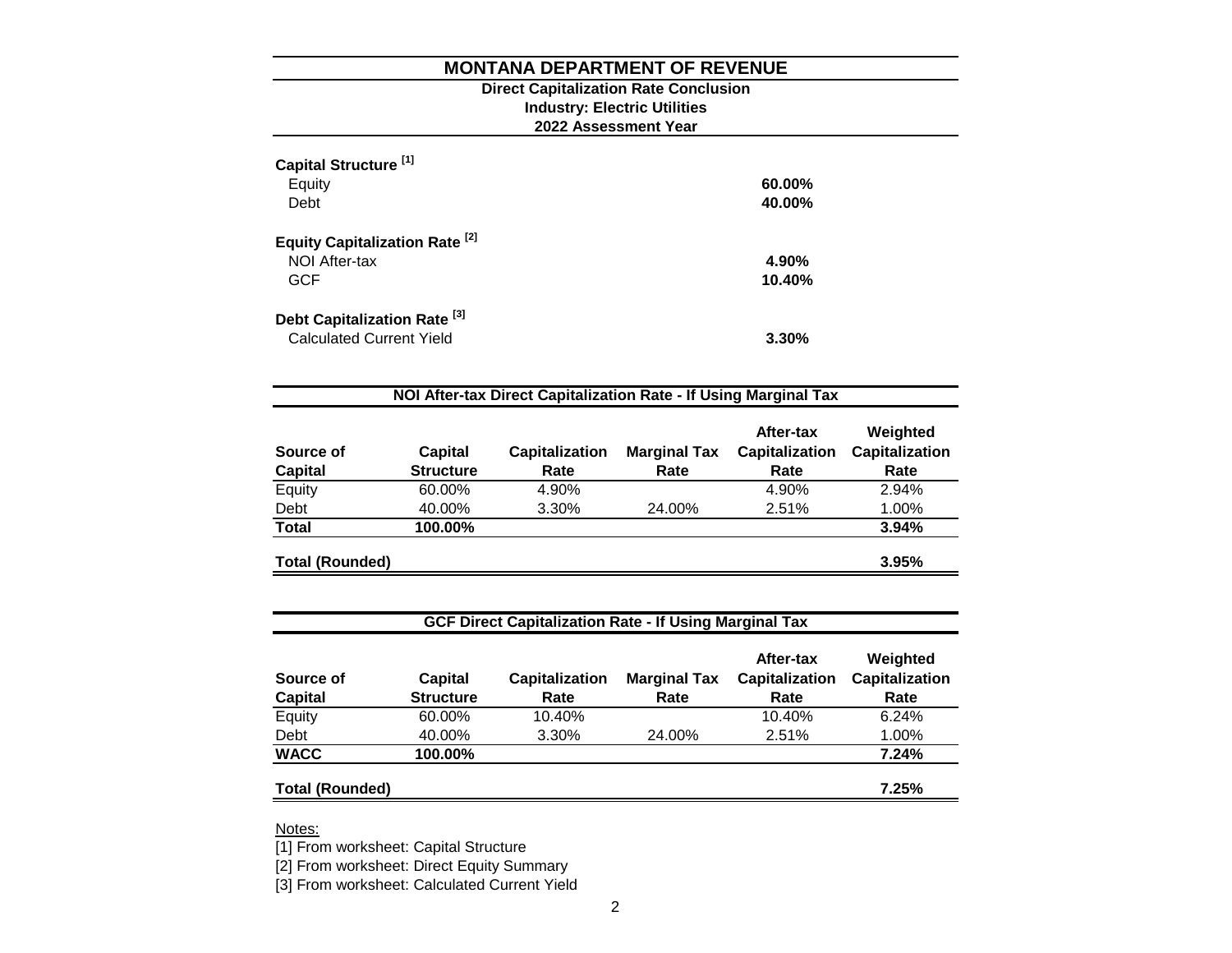#### **Direct Capitalization Rate Conclusion Industry: Electric Utilities 2022 Assessment Year**

| Capital Structure <sup>[1]</sup><br>Equity<br>Debt                         | 60.00%<br>40.00% |
|----------------------------------------------------------------------------|------------------|
| <b>Equity Capitalization Rate [2]</b><br>NOI After-tax<br><b>GCF</b>       | 4.90%<br>10.40%  |
| Debt Capitalization Rate <sup>[3]</sup><br><b>Calculated Current Yield</b> | 3.30%            |

| Source of<br><b>Capital</b> | <b>Capital</b><br><b>Structure</b> | <b>Capitalization</b><br>Rate | <b>Marginal Tax</b><br>Rate | After-tax<br><b>Capitalization</b><br>Rate | Weighted<br><b>Capitalization</b><br>Rate |
|-----------------------------|------------------------------------|-------------------------------|-----------------------------|--------------------------------------------|-------------------------------------------|
| Equity                      | 60.00%                             | 4.90%                         |                             | 4.90%                                      | 2.94%                                     |
| Debt                        | 40.00%                             | 3.30%                         | 24.00%                      | 2.51%                                      | 1.00%                                     |
| <b>Total</b>                | 100.00%                            |                               |                             |                                            | 3.94%                                     |
| <b>Total (Rounded)</b>      |                                    |                               |                             |                                            | 3.95%                                     |

## **GCF Direct Capitalization Rate - If Using Marginal Tax**

| Source of              | Capital          | <b>Capitalization</b> | <b>Marginal Tax</b> | After-tax<br><b>Capitalization</b> | Weighted<br><b>Capitalization</b> |
|------------------------|------------------|-----------------------|---------------------|------------------------------------|-----------------------------------|
| <b>Capital</b>         | <b>Structure</b> | Rate                  | Rate                | Rate                               | Rate                              |
| Equity                 | 60.00%           | 10.40%                |                     | 10.40%                             | 6.24%                             |
| Debt                   | 40.00%           | 3.30%                 | 24.00%              | 2.51%                              | 1.00%                             |
| <b>WACC</b>            | 100.00%          |                       |                     |                                    | 7.24%                             |
| <b>Total (Rounded)</b> |                  |                       |                     |                                    | 7.25%                             |

Notes:

[1] From worksheet: Capital Structure

[2] From worksheet: Direct Equity Summary

[3] From worksheet: Calculated Current Yield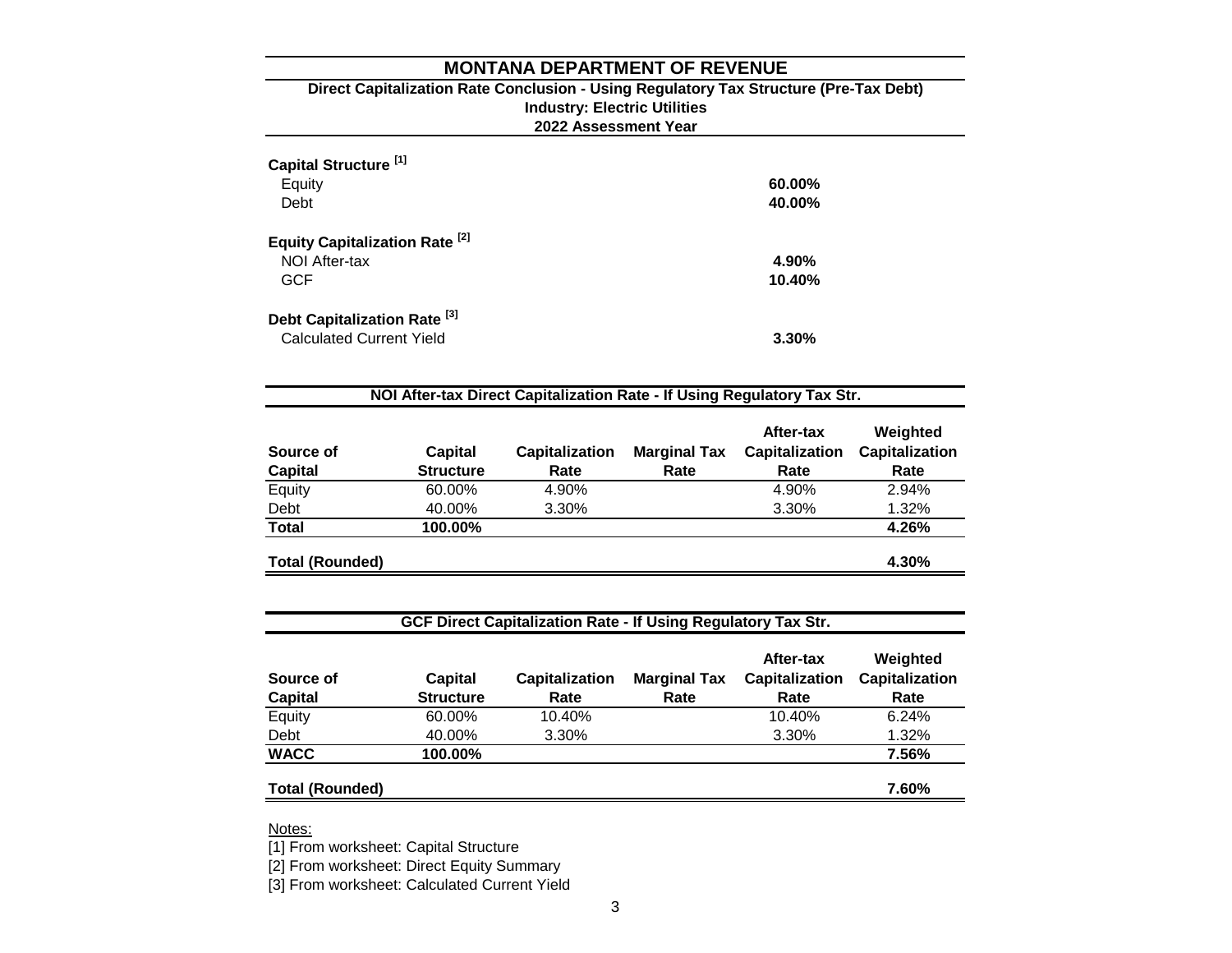#### **2022 Assessment Year Industry: Electric Utilities Direct Capitalization Rate Conclusion - Using Regulatory Tax Structure (Pre-Tax Debt)**

| Capital Structure <sup>[1]</sup><br>Equity<br>Debt                         | 60.00%<br>40.00% |
|----------------------------------------------------------------------------|------------------|
| Equity Capitalization Rate <sup>[2]</sup><br>NOI After-tax<br><b>GCF</b>   | 4.90%<br>10.40%  |
| Debt Capitalization Rate <sup>[3]</sup><br><b>Calculated Current Yield</b> | 3.30%            |

| Source of<br><b>Capital</b> | Capital<br><b>Structure</b> | <b>Capitalization</b><br>Rate | <b>Marginal Tax</b><br>Rate | After-tax<br><b>Capitalization</b><br>Rate | Weighted<br><b>Capitalization</b><br>Rate |
|-----------------------------|-----------------------------|-------------------------------|-----------------------------|--------------------------------------------|-------------------------------------------|
| Equity                      | 60.00%                      | 4.90%                         |                             | 4.90%                                      | 2.94%                                     |
| Debt                        | 40.00%                      | 3.30%                         |                             | 3.30%                                      | 1.32%                                     |
| <b>Total</b>                | 100.00%                     |                               |                             |                                            | 4.26%                                     |
| <b>Total (Rounded)</b>      |                             |                               |                             |                                            | 4.30%                                     |

# **GCF Direct Capitalization Rate - If Using Regulatory Tax Str.**

| Source of              | <b>Capital</b>   | <b>Capitalization</b> | <b>Marginal Tax</b> | After-tax<br><b>Capitalization</b> | Weighted<br><b>Capitalization</b> |
|------------------------|------------------|-----------------------|---------------------|------------------------------------|-----------------------------------|
| <b>Capital</b>         | <b>Structure</b> | Rate                  | Rate                | Rate                               | Rate                              |
| Equity                 | 60.00%           | 10.40%                |                     | 10.40%                             | 6.24%                             |
| Debt                   | 40.00%           | 3.30%                 |                     | 3.30%                              | 1.32%                             |
| <b>WACC</b>            | 100.00%          |                       |                     |                                    | 7.56%                             |
| <b>Total (Rounded)</b> |                  |                       |                     |                                    | 7.60%                             |

Notes:

[1] From worksheet: Capital Structure

[2] From worksheet: Direct Equity Summary

[3] From worksheet: Calculated Current Yield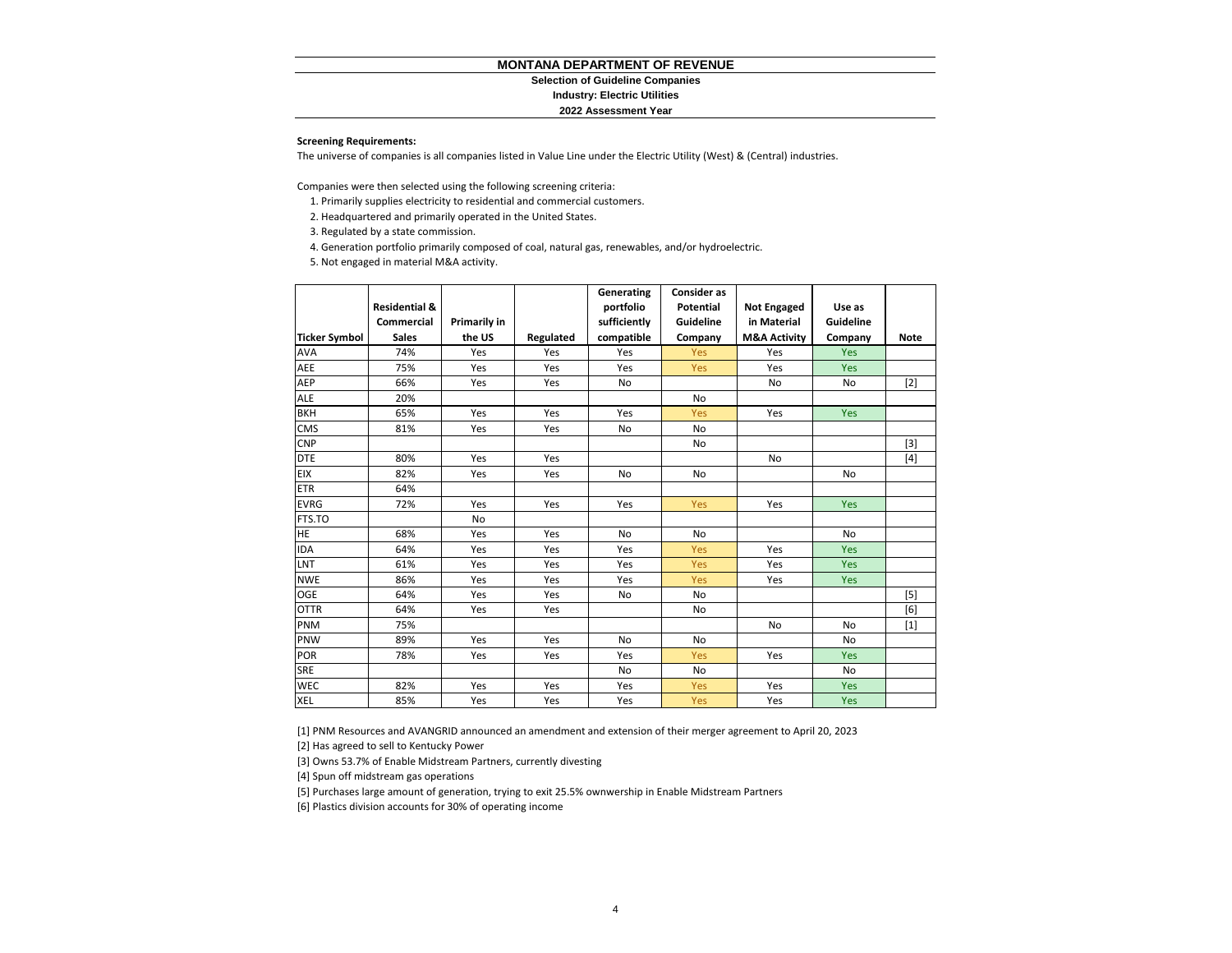#### **Selection of Guideline Companies**

#### **Industry: Electric Utilities**

#### **2022 Assessment Year**

#### **Screening Requirements:**

The universe of companies is all companies listed in Value Line under the Electric Utility (West) & (Central) industries.

Companies were then selected using the following screening criteria:

- 1. Primarily supplies electricity to residential and commercial customers.
- 2. Headquartered and primarily operated in the United States.

3. Regulated by a state commission.

4. Generation portfolio primarily composed of coal, natural gas, renewables, and/or hydroelectric.

5. Not engaged in material M&A activity.

|                      |                          |              |           | Generating   | <b>Consider as</b> |                         |            |       |
|----------------------|--------------------------|--------------|-----------|--------------|--------------------|-------------------------|------------|-------|
|                      | <b>Residential &amp;</b> |              |           | portfolio    | <b>Potential</b>   | <b>Not Engaged</b>      | Use as     |       |
|                      | Commercial               | Primarily in |           | sufficiently | Guideline          | in Material             | Guideline  |       |
| <b>Ticker Symbol</b> | <b>Sales</b>             | the US       | Regulated | compatible   | Company            | <b>M&amp;A Activity</b> | Company    | Note  |
| <b>AVA</b>           | 74%                      | Yes          | Yes       | Yes          | <b>Yes</b>         | Yes                     | Yes        |       |
| AEE                  | 75%                      | Yes          | Yes       | Yes          | Yes                | Yes                     | Yes        |       |
| AEP                  | 66%                      | Yes          | Yes       | No           |                    | No                      | No         | $[2]$ |
| <b>ALE</b>           | 20%                      |              |           |              | <b>No</b>          |                         |            |       |
| <b>BKH</b>           | 65%                      | Yes          | Yes       | Yes          | Yes                | Yes                     | Yes        |       |
| <b>CMS</b>           | 81%                      | Yes          | Yes       | No           | No                 |                         |            |       |
| <b>CNP</b>           |                          |              |           |              | No                 |                         |            | $[3]$ |
| <b>DTE</b>           | 80%                      | Yes          | Yes       |              |                    | No                      |            | $[4]$ |
| <b>EIX</b>           | 82%                      | Yes          | Yes       | <b>No</b>    | No                 |                         | No         |       |
| <b>ETR</b>           | 64%                      |              |           |              |                    |                         |            |       |
| <b>EVRG</b>          | 72%                      | Yes          | Yes       | Yes          | Yes                | Yes                     | Yes        |       |
| FTS.TO               |                          | No           |           |              |                    |                         |            |       |
| HE                   | 68%                      | Yes          | Yes       | <b>No</b>    | <b>No</b>          |                         | <b>No</b>  |       |
| <b>IDA</b>           | 64%                      | Yes          | Yes       | Yes          | Yes                | Yes                     | Yes        |       |
| LNT                  | 61%                      | Yes          | Yes       | Yes          | Yes                | Yes                     | <b>Yes</b> |       |
| <b>NWE</b>           | 86%                      | Yes          | Yes       | Yes          | Yes                | Yes                     | Yes        |       |
| <b>OGE</b>           | 64%                      | Yes          | Yes       | No           | <b>No</b>          |                         |            | $[5]$ |
| <b>OTTR</b>          | 64%                      | Yes          | Yes       |              | No                 |                         |            | [6]   |
| PNM                  | 75%                      |              |           |              |                    | <b>No</b>               | <b>No</b>  | $[1]$ |
| PNW                  | 89%                      | Yes          | Yes       | <b>No</b>    | <b>No</b>          |                         | No         |       |
| POR                  | 78%                      | Yes          | Yes       | Yes          | Yes                | Yes                     | Yes        |       |
| SRE                  |                          |              |           | No           | No                 |                         | No         |       |
| <b>WEC</b>           | 82%                      | Yes          | Yes       | Yes          | Yes                | Yes                     | Yes        |       |
| <b>XEL</b>           | 85%                      | Yes          | Yes       | Yes          | Yes                | Yes                     | <b>Yes</b> |       |

[1] PNM Resources and AVANGRID announced an amendment and extension of their merger agreement to April 20, 2023

[2] Has agreed to sell to Kentucky Power

[3] Owns 53.7% of Enable Midstream Partners, currently divesting

[4] Spun off midstream gas operations

[5] Purchases large amount of generation, trying to exit 25.5% ownwership in Enable Midstream Partners

[6] Plastics division accounts for 30% of operating income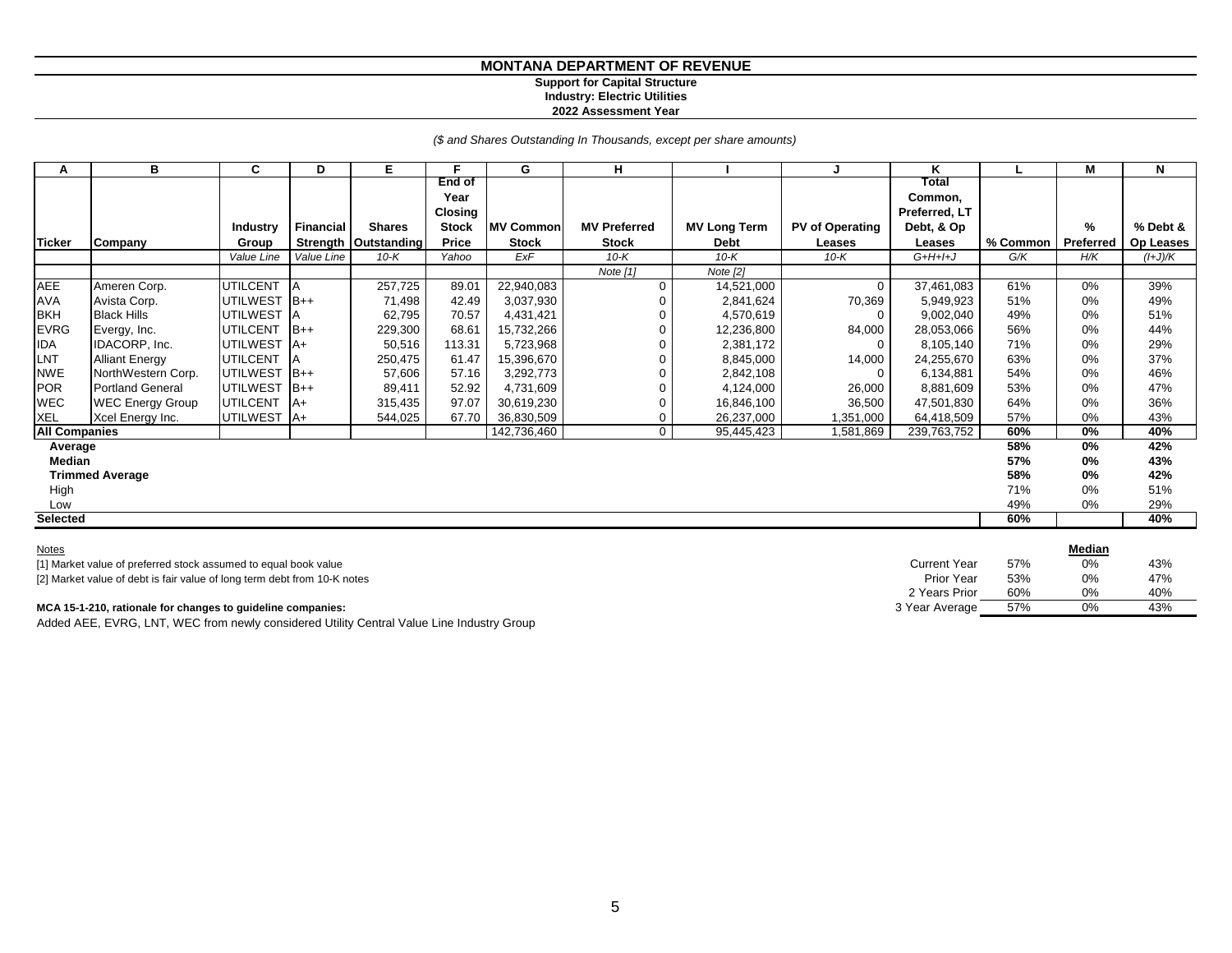#### **Support for Capital Structure Industry: Electric Utilities**

**2022 Assessment Year**

*(\$ and Shares Outstanding In Thousands, except per share amounts)*

| А                    | в                       | C               | D                | E.                     | Е              | G                | н                   |                     |                        | Κ                |          | М         | N         |
|----------------------|-------------------------|-----------------|------------------|------------------------|----------------|------------------|---------------------|---------------------|------------------------|------------------|----------|-----------|-----------|
|                      |                         |                 |                  |                        | End of<br>Year |                  |                     |                     |                        | Total<br>Common, |          |           |           |
|                      |                         |                 |                  |                        | <b>Closing</b> |                  |                     |                     |                        | Preferred, LT    |          |           |           |
|                      |                         | Industry        | <b>Financial</b> | <b>Shares</b>          | <b>Stock</b>   | <b>MV Common</b> | <b>MV Preferred</b> | <b>MV Long Term</b> | <b>PV of Operating</b> | Debt, & Op       |          | %         | % Debt &  |
| <b>Ticker</b>        | Company                 | Group           |                  | Strength   Outstanding | Price          | <b>Stock</b>     | <b>Stock</b>        | <b>Debt</b>         | Leases                 | Leases           | % Common | Preferred | Op Leases |
|                      |                         | Value Line      | Value Line       | 10- $K$                | Yahoo          | ExF              | $10-K$              | $10-K$              | 10-K                   | $G+H+I+J$        | G/K      | H/K       | (I+J)/K   |
|                      |                         |                 |                  |                        |                |                  | Note [1]            | Note [2]            |                        |                  |          |           |           |
| AEE                  | Ameren Corp.            | <b>UTILCENT</b> | <b>A</b>         | 257,725                | 89.01          | 22,940,083       | $\Omega$            | 14,521,000          | $\mathbf 0$            | 37,461,083       | 61%      | 0%        | 39%       |
| <b>AVA</b>           | Avista Corp.            | <b>UTILWEST</b> | $B++$            | 71,498                 | 42.49          | 3,037,930        |                     | 2,841,624           | 70,369                 | 5,949,923        | 51%      | 0%        | 49%       |
| <b>BKH</b>           | <b>Black Hills</b>      | <b>UTILWEST</b> | A                | 62,795                 | 70.57          | 4,431,421        |                     | 4,570,619           |                        | 9,002,040        | 49%      | 0%        | 51%       |
| <b>EVRG</b>          | Evergy, Inc.            | <b>UTILCENT</b> | $B++$            | 229,300                | 68.61          | 15,732,266       |                     | 12,236,800          | 84,000                 | 28,053,066       | 56%      | 0%        | 44%       |
| <b>IDA</b>           | IDACORP, Inc.           | <b>UTILWEST</b> | $A+$             | 50,516                 | 113.31         | 5,723,968        |                     | 2,381,172           | $\Omega$               | 8,105,140        | 71%      | 0%        | 29%       |
| LNT                  | <b>Alliant Energy</b>   | <b>UTILCENT</b> |                  | 250,475                | 61.47          | 15,396,670       |                     | 8,845,000           | 14,000                 | 24,255,670       | 63%      | 0%        | 37%       |
| <b>NWE</b>           | NorthWestern Corp.      | <b>UTILWEST</b> | $B++$            | 57,606                 | 57.16          | 3,292,773        |                     | 2,842,108           | $\Omega$               | 6,134,881        | 54%      | 0%        | 46%       |
| POR                  | <b>Portland General</b> | <b>UTILWEST</b> | $B++$            | 89,411                 | 52.92          | 4,731,609        |                     | 4,124,000           | 26,000                 | 8,881,609        | 53%      | 0%        | 47%       |
| <b>WEC</b>           | <b>WEC Energy Group</b> | <b>UTILCENT</b> | $A+$             | 315,435                | 97.07          | 30,619,230       |                     | 16,846,100          | 36,500                 | 47,501,830       | 64%      | 0%        | 36%       |
| <b>XEL</b>           | Xcel Energy Inc.        | <b>UTILWEST</b> | lA+              | 544,025                | 67.70          | 36,830,509       | 0                   | 26,237,000          | 1,351,000              | 64,418,509       | 57%      | 0%        | 43%       |
| <b>All Companies</b> |                         |                 |                  |                        |                | 142,736,460      | $\mathbf 0$         | 95,445,423          | 1,581,869              | 239,763,752      | 60%      | 0%        | 40%       |
| Average              |                         |                 |                  |                        |                |                  |                     |                     |                        |                  | 58%      | 0%        | 42%       |
| Median               |                         |                 |                  |                        |                |                  |                     |                     |                        |                  | 57%      | $0\%$     | 43%       |
|                      | <b>Trimmed Average</b>  |                 |                  |                        |                |                  |                     |                     |                        |                  | 58%      | 0%        | 42%       |
| High                 |                         |                 |                  |                        |                |                  |                     |                     |                        |                  | 71%      | 0%        | 51%       |
| Low                  |                         |                 |                  |                        |                |                  |                     |                     |                        |                  | 49%      | 0%        | 29%       |
| <b>Selected</b>      |                         |                 |                  |                        |                |                  |                     |                     |                        |                  | 60%      |           | 40%       |

| <b>Notes</b>                                                             |                     |     | Median |     |
|--------------------------------------------------------------------------|---------------------|-----|--------|-----|
| [1] Market value of preferred stock assumed to equal book value          | <b>Current Year</b> | 57% | 0%     | 43% |
| [2] Market value of debt is fair value of long term debt from 10-K notes | <b>Prior Year</b>   | 53% | 0%     | 47% |
|                                                                          | 2 Years Prior       | 60% | 0%     | 40% |
| MCA 15-1-210, rationale for changes to guideline companies:              | 3 Year Average      | 57% | 0%     | 43% |

Added AEE, EVRG, LNT, WEC from newly considered Utility Central Value Line Industry Group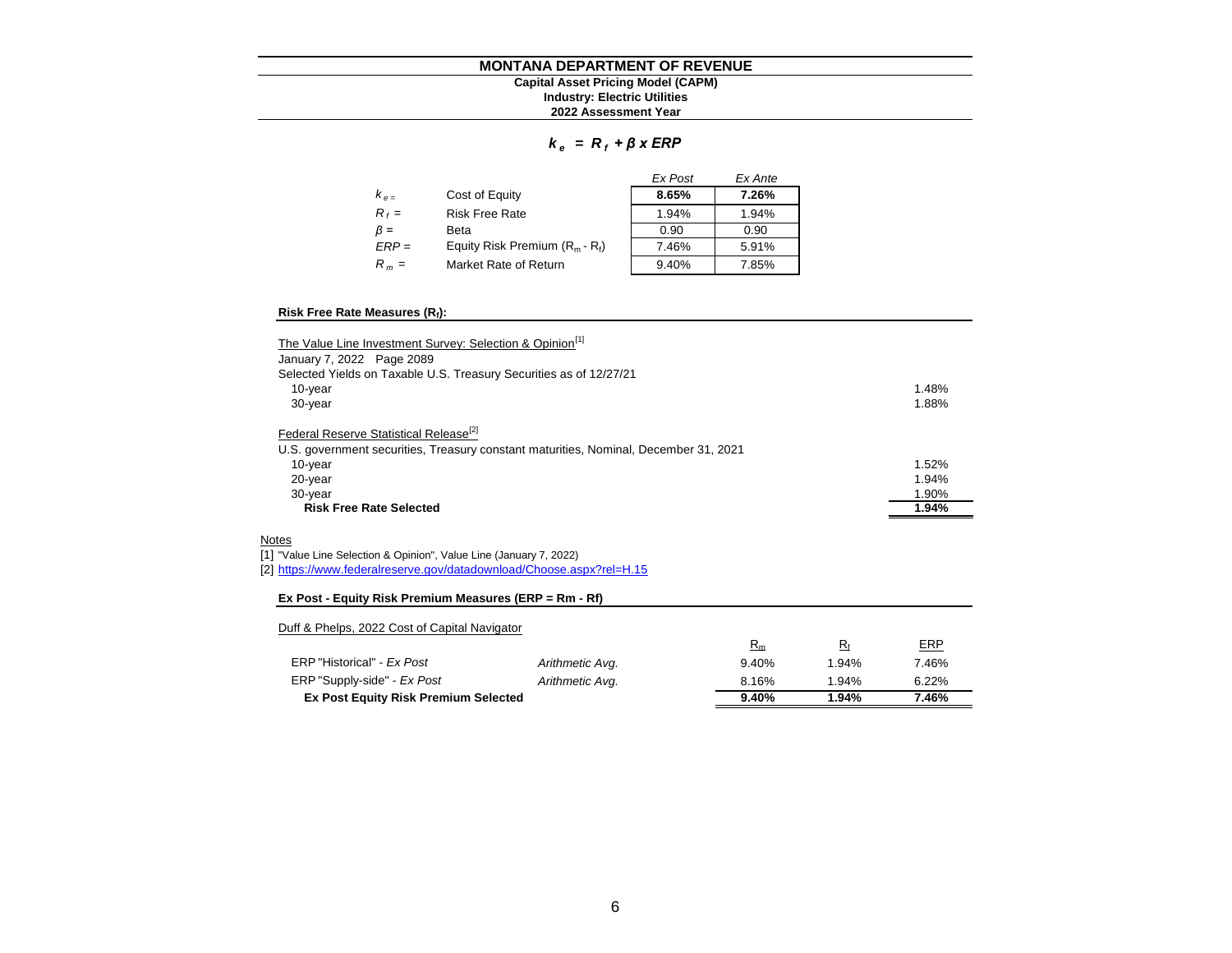#### **MONTANA DEPARTMENT OF REVENUE 2022 Assessment Year Industry: Electric Utilities Capital Asset Pricing Model (CAPM)**

#### *k e = R <sup>f</sup> + β x ERP*

|           |                                   | Ex Post | Ex Ante |
|-----------|-----------------------------------|---------|---------|
| $k_{e}$   | Cost of Equity                    | 8.65%   | 7.26%   |
| $R_f =$   | <b>Risk Free Rate</b>             | 1.94%   | 1.94%   |
| $\beta =$ | Beta                              | 0.90    | 0.90    |
| $ERP =$   | Equity Risk Premium $(R_m - R_f)$ | 7.46%   | 5.91%   |
| $R_m =$   | Market Rate of Return             | 9.40%   | 7.85%   |

#### **Risk Free Rate Measures (R<sup>f</sup> ):**

| The Value Line Investment Survey: Selection & Opinion <sup>[1]</sup>                 |       |
|--------------------------------------------------------------------------------------|-------|
| January 7, 2022 Page 2089                                                            |       |
| Selected Yields on Taxable U.S. Treasury Securities as of 12/27/21                   |       |
| 10-year                                                                              | 1.48% |
| 30-year                                                                              | 1.88% |
| Federal Reserve Statistical Release <sup>[2]</sup>                                   |       |
| U.S. government securities, Treasury constant maturities, Nominal, December 31, 2021 |       |
| 10-year                                                                              | 1.52% |
| 20-year                                                                              | 1.94% |
| 30-year                                                                              | 1.90% |
| <b>Risk Free Rate Selected</b>                                                       | 1.94% |
| Notes                                                                                |       |
| [1] "Value Line Selection & Opinion", Value Line (January 7, 2022)                   |       |
| [2] https://www.federalreserve.gov/datadownload/Choose.aspx?rel=H.15                 |       |
| Ex Post - Equity Risk Premium Measures (ERP = Rm - Rf)                               |       |
| Duff & Phelps, 2022 Cost of Capital Navigator                                        |       |

|                                             |                 | $R_m$ | R٠       | <b>ERP</b> |
|---------------------------------------------|-----------------|-------|----------|------------|
| ERP "Historical" - Ex Post                  | Arithmetic Avg. | 9.40% | 1.94%    | 7.46%      |
| ERP "Supply-side" - Ex Post                 | Arithmetic Avg. | 8.16% | $1.94\%$ | 6.22%      |
| <b>Ex Post Equity Risk Premium Selected</b> |                 | 9.40% | 1.94%    | 7.46%      |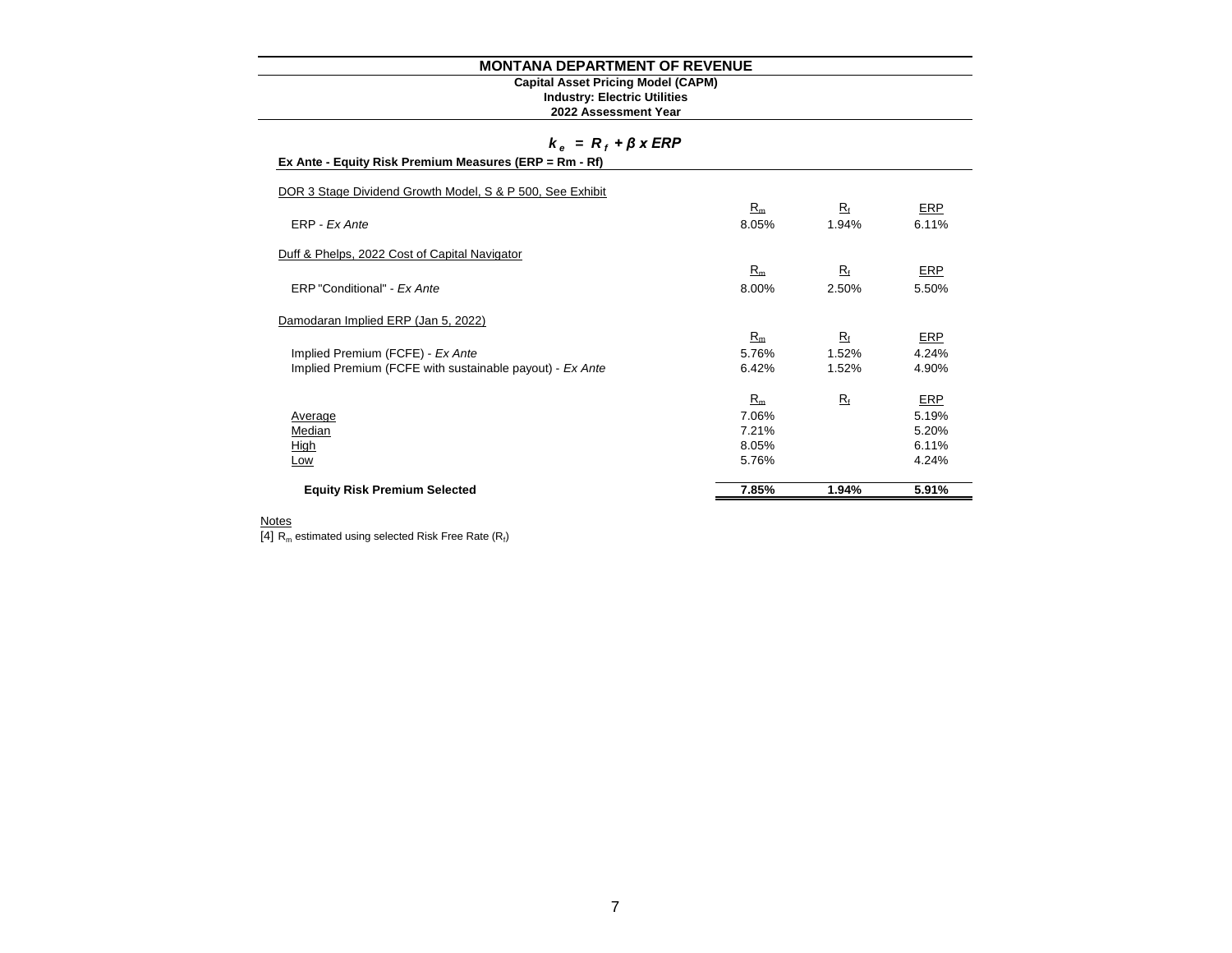#### **Industry: Electric Utilities Capital Asset Pricing Model (CAPM)**

#### **2022 Assessment Year**

#### *k e = R <sup>f</sup> + β x ERP*

|  | Ex Ante - Equity Risk Premium Measures (ERP = Rm - Rf) |
|--|--------------------------------------------------------|
|--|--------------------------------------------------------|

| <b>Equity Risk Premium Selected</b>                       | 7.85% | 1.94%       | 5.91%      |
|-----------------------------------------------------------|-------|-------------|------------|
|                                                           |       |             |            |
| Low                                                       | 5.76% |             | 4.24%      |
| High                                                      | 8.05% |             | 6.11%      |
| Median                                                    | 7.21% |             | 5.20%      |
| Average                                                   | 7.06% |             | 5.19%      |
|                                                           | $R_m$ | $R_{\rm f}$ | <b>ERP</b> |
| Implied Premium (FCFE with sustainable payout) - Ex Ante  | 6.42% | 1.52%       | 4.90%      |
| Implied Premium (FCFE) - Ex Ante                          | 5.76% | 1.52%       | 4.24%      |
|                                                           | $R_m$ | $R_{\rm f}$ | ERP        |
| Damodaran Implied ERP (Jan 5, 2022)                       |       |             |            |
|                                                           |       |             |            |
| ERP "Conditional" - Ex Ante                               | 8.00% | 2.50%       | 5.50%      |
|                                                           | $R_m$ | $R_{\rm f}$ | ERP        |
| Duff & Phelps, 2022 Cost of Capital Navigator             |       |             |            |
| ERP - Ex Ante                                             | 8.05% | 1.94%       | 6.11%      |
|                                                           | $R_m$ | $R_{\rm f}$ | ERP        |
| DOR 3 Stage Dividend Growth Model, S & P 500, See Exhibit |       |             |            |
|                                                           |       |             |            |

#### **Notes**

 $[4]$  R<sub>m</sub> estimated using selected Risk Free Rate (R<sub>f</sub>)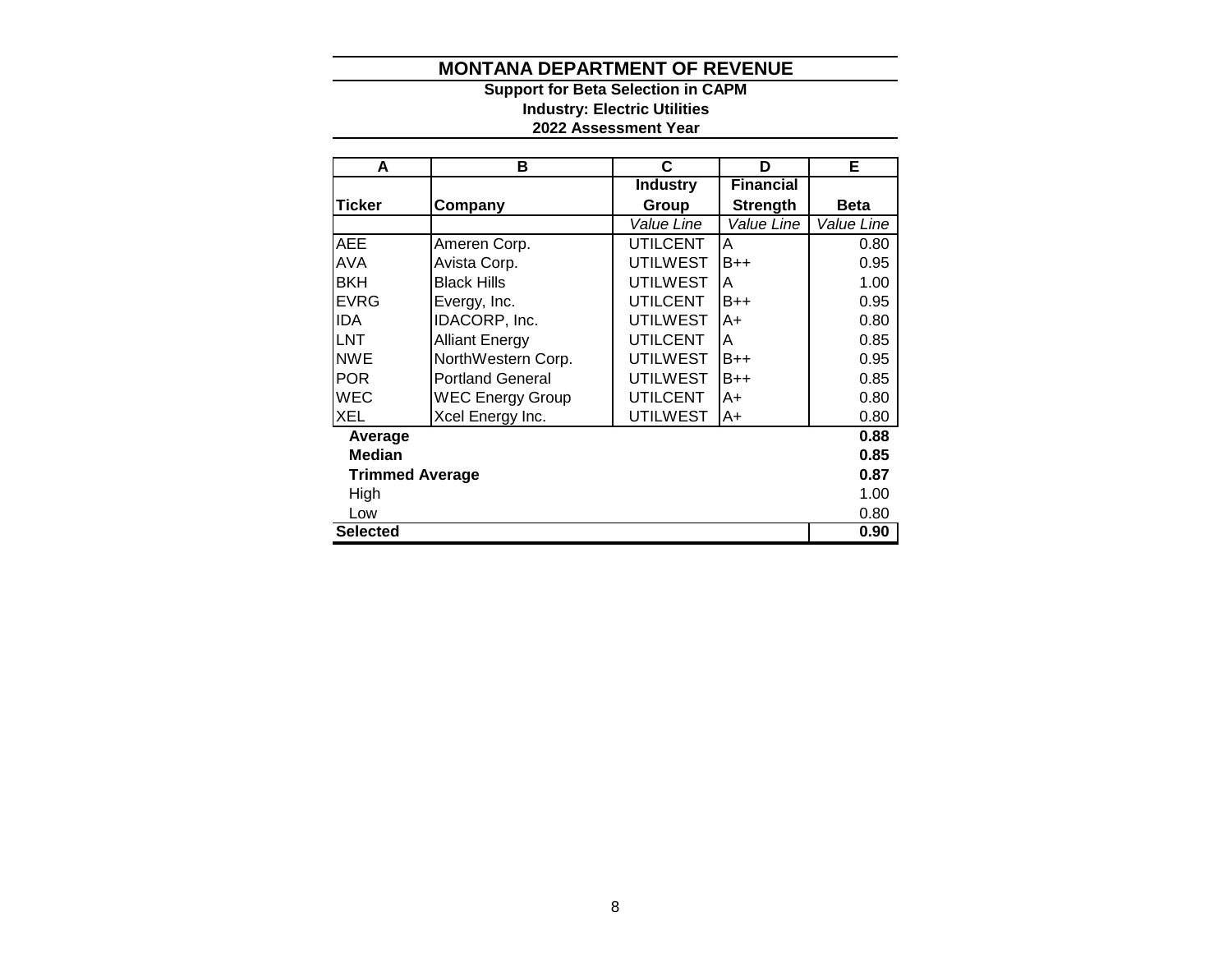**2022 Assessment Year Industry: Electric Utilities Support for Beta Selection in CAPM**

| A                      | в                       | C               | D                | Е           |  |  |  |  |
|------------------------|-------------------------|-----------------|------------------|-------------|--|--|--|--|
|                        |                         | <b>Industry</b> | <b>Financial</b> |             |  |  |  |  |
| <b>Ticker</b>          | Company                 | Group           | <b>Strength</b>  | <b>Beta</b> |  |  |  |  |
|                        |                         | Value Line      | Value Line       | Value Line  |  |  |  |  |
| <b>AEE</b>             | Ameren Corp.            | <b>UTILCENT</b> | Α                | 0.80        |  |  |  |  |
| <b>AVA</b>             | Avista Corp.            | <b>UTILWEST</b> | B++              | 0.95        |  |  |  |  |
| <b>BKH</b>             | <b>Black Hills</b>      | <b>UTILWEST</b> | Α                | 1.00        |  |  |  |  |
| <b>EVRG</b>            | Evergy, Inc.            | <b>UTILCENT</b> | B++              | 0.95        |  |  |  |  |
| <b>IDA</b>             | IDACORP, Inc.           | <b>UTILWEST</b> | A+               | 0.80        |  |  |  |  |
| <b>LNT</b>             | <b>Alliant Energy</b>   | <b>UTILCENT</b> | A                | 0.85        |  |  |  |  |
| <b>NWE</b>             | NorthWestern Corp.      | <b>UTILWEST</b> | B++              | 0.95        |  |  |  |  |
| <b>POR</b>             | <b>Portland General</b> | <b>UTILWEST</b> | $B++$            | 0.85        |  |  |  |  |
| <b>WEC</b>             | <b>WEC Energy Group</b> | <b>UTILCENT</b> | A+               | 0.80        |  |  |  |  |
| <b>XEL</b>             | Xcel Energy Inc.        | <b>UTILWEST</b> | A+               | 0.80        |  |  |  |  |
| Average                |                         |                 |                  | 0.88        |  |  |  |  |
| <b>Median</b>          |                         |                 |                  | 0.85        |  |  |  |  |
| <b>Trimmed Average</b> |                         |                 |                  | 0.87        |  |  |  |  |
| High                   |                         |                 |                  |             |  |  |  |  |
| Low                    |                         |                 |                  | 0.80        |  |  |  |  |
| <b>Selected</b>        |                         |                 |                  | 0.90        |  |  |  |  |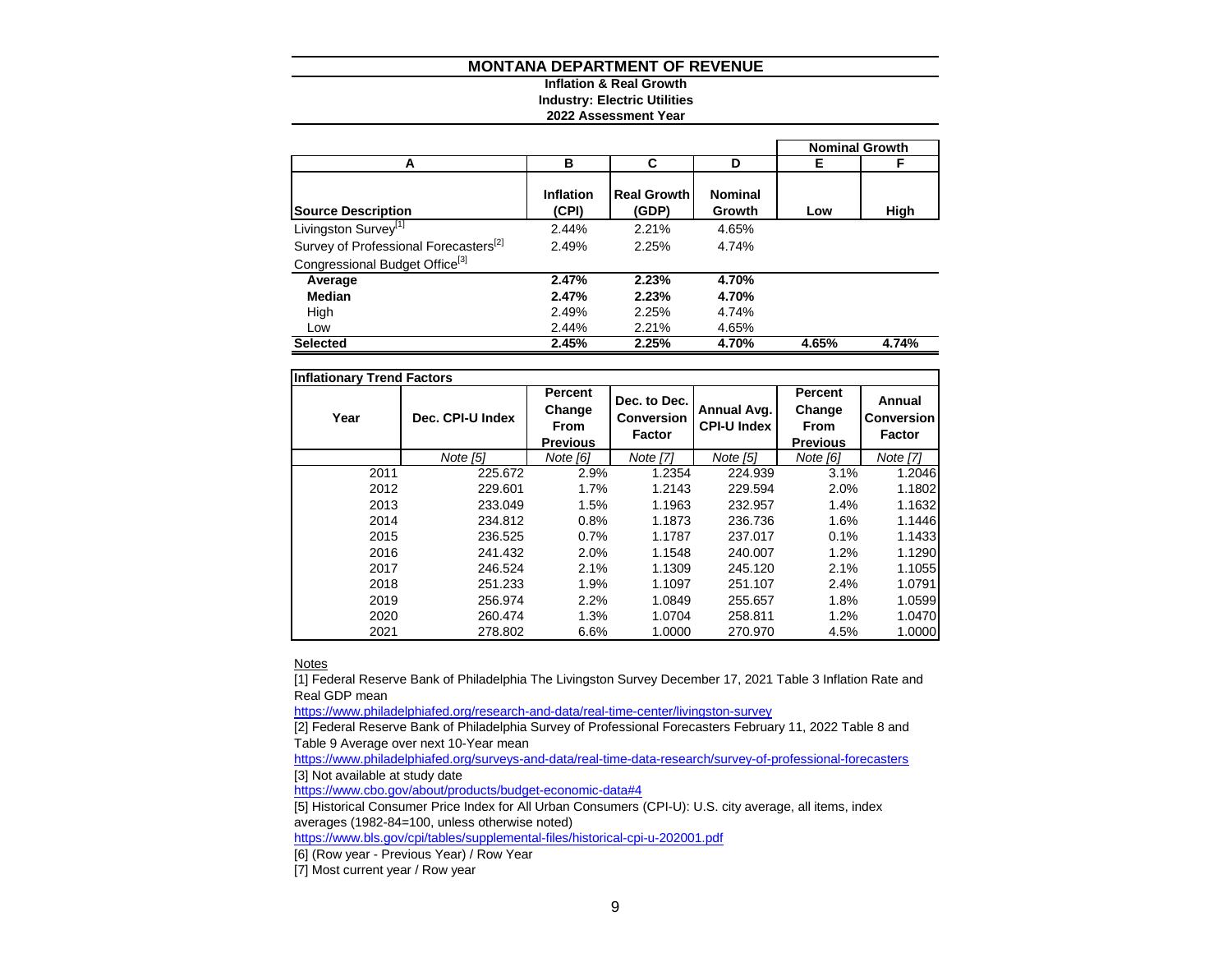#### **Inflation & Real Growth Industry: Electric Utilities**

#### **2022 Assessment Year**

|                                                   |                           |                             |                          |       | <b>Nominal Growth</b> |
|---------------------------------------------------|---------------------------|-----------------------------|--------------------------|-------|-----------------------|
| А                                                 | в                         | C                           | D                        | Е     | F                     |
| <b>Source Description</b>                         | <b>Inflation</b><br>(CPI) | <b>Real Growth</b><br>(GDP) | <b>Nominal</b><br>Growth | Low   | High                  |
| Livingston Survey <sup>[1]</sup>                  | 2.44%                     | 2.21%                       | 4.65%                    |       |                       |
| Survey of Professional Forecasters <sup>[2]</sup> | 2.49%                     | 2.25%                       | 4.74%                    |       |                       |
| Congressional Budget Office <sup>[3]</sup>        |                           |                             |                          |       |                       |
| Average                                           | 2.47%                     | 2.23%                       | 4.70%                    |       |                       |
| Median                                            | 2.47%                     | 2.23%                       | 4.70%                    |       |                       |
| High                                              | 2.49%                     | 2.25%                       | 4.74%                    |       |                       |
| Low                                               | 2.44%                     | 2.21%                       | 4.65%                    |       |                       |
| <b>Selected</b>                                   | 2.45%                     | 2.25%                       | 4.70%                    | 4.65% | 4.74%                 |

| <b>Inflationary Trend Factors</b> |                  |                                                     |                                                    |                                   |                                                            |                                       |
|-----------------------------------|------------------|-----------------------------------------------------|----------------------------------------------------|-----------------------------------|------------------------------------------------------------|---------------------------------------|
| Year                              | Dec. CPI-U Index | Percent<br>Change<br><b>From</b><br><b>Previous</b> | Dec. to Dec.<br><b>Conversion</b><br><b>Factor</b> | Annual Avg.<br><b>CPI-U Index</b> | <b>Percent</b><br>Change<br><b>From</b><br><b>Previous</b> | Annual<br>Conversion<br><b>Factor</b> |
|                                   | Note [5]         | Note [6]                                            | Note [7]                                           | Note [5]                          | Note [6]                                                   | Note [7]                              |
| 2011                              | 225.672          | 2.9%                                                | 1.2354                                             | 224.939                           | 3.1%                                                       | 1.2046                                |
| 2012                              | 229.601          | 1.7%                                                | 1.2143                                             | 229.594                           | 2.0%                                                       | 1.1802                                |
| 2013                              | 233.049          | 1.5%                                                | 1.1963                                             | 232.957                           | 1.4%                                                       | 1.1632                                |
| 2014                              | 234.812          | 0.8%                                                | 1.1873                                             | 236.736                           | 1.6%                                                       | 1.1446                                |
| 2015                              | 236.525          | 0.7%                                                | 1.1787                                             | 237.017                           | 0.1%                                                       | 1.1433                                |
| 2016                              | 241.432          | 2.0%                                                | 1.1548                                             | 240.007                           | 1.2%                                                       | 1.1290                                |
| 2017                              | 246.524          | 2.1%                                                | 1.1309                                             | 245.120                           | 2.1%                                                       | 1.1055                                |
| 2018                              | 251.233          | 1.9%                                                | 1.1097                                             | 251.107                           | 2.4%                                                       | 1.0791                                |
| 2019                              | 256.974          | 2.2%                                                | 1.0849                                             | 255.657                           | 1.8%                                                       | 1.0599                                |
| 2020                              | 260.474          | 1.3%                                                | 1.0704                                             | 258.811                           | 1.2%                                                       | 1.0470                                |
| 2021                              | 278.802          | 6.6%                                                | 1.0000                                             | 270.970                           | 4.5%                                                       | 1.0000                                |

**Notes** 

[1] Federal Reserve Bank of Philadelphia The Livingston Survey December 17, 2021 Table 3 Inflation Rate and Real GDP mean

<https://www.philadelphiafed.org/research-and-data/real-time-center/livingston-survey>

[2] Federal Reserve Bank of Philadelphia Survey of Professional Forecasters February 11, 2022 Table 8 and Table 9 Average over next 10-Year mean

<https://www.philadelphiafed.org/surveys-and-data/real-time-data-research/survey-of-professional-forecasters> [3] Not available at study date

<https://www.cbo.gov/about/products/budget-economic-data#4>

[5] Historical Consumer Price Index for All Urban Consumers (CPI-U): U.S. city average, all items, index averages (1982-84=100, unless otherwise noted)

<https://www.bls.gov/cpi/tables/supplemental-files/historical-cpi-u-202001.pdf>

[6] (Row year - Previous Year) / Row Year

[7] Most current year / Row year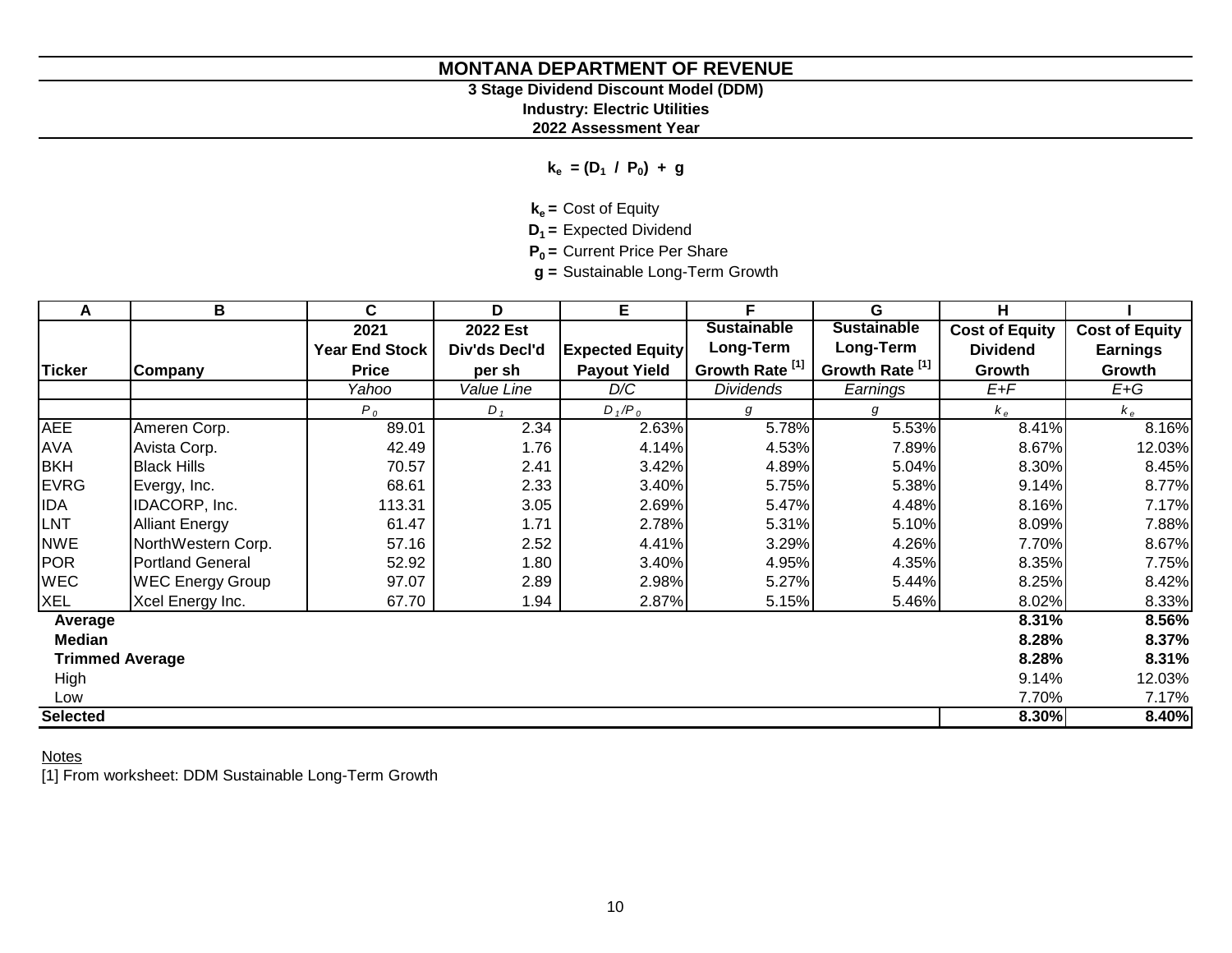# **3 Stage Dividend Discount Model (DDM)**

**Industry: Electric Utilities**

**2022 Assessment Year**

**ke = (D<sup>1</sup> / P<sup>0</sup> ) + g**

**ke =** Cost of Equity

**D1 =** Expected Dividend

**P0 =** Current Price Per Share

**g =** Sustainable Long-Term Growth

| A                      | В                       | C                     | D               | E                      | F                          | G                          | н                     |                       |
|------------------------|-------------------------|-----------------------|-----------------|------------------------|----------------------------|----------------------------|-----------------------|-----------------------|
|                        |                         | 2021                  | <b>2022 Est</b> |                        | <b>Sustainable</b>         | <b>Sustainable</b>         | <b>Cost of Equity</b> | <b>Cost of Equity</b> |
|                        |                         | <b>Year End Stock</b> | Div'ds Decl'd   | <b>Expected Equity</b> | Long-Term                  | Long-Term                  | <b>Dividend</b>       | <b>Earnings</b>       |
| <b>Ticker</b>          | Company                 | <b>Price</b>          | per sh          | <b>Payout Yield</b>    | Growth Rate <sup>[1]</sup> | Growth Rate <sup>[1]</sup> | Growth                | Growth                |
|                        |                         | Yahoo                 | Value Line      | D/C                    | <b>Dividends</b>           | Earnings                   | $E+F$                 | $E+G$                 |
|                        |                         | $P_0$                 | $D_1$           | $D_1/P_0$              | g                          | g                          | $k_e$                 | $k_e$                 |
| <b>AEE</b>             | Ameren Corp.            | 89.01                 | 2.34            | 2.63%                  | 5.78%                      | 5.53%                      | 8.41%                 | 8.16%                 |
| <b>AVA</b>             | Avista Corp.            | 42.49                 | 1.76            | 4.14%                  | 4.53%                      | 7.89%                      | 8.67%                 | 12.03%                |
| <b>BKH</b>             | <b>Black Hills</b>      | 70.57                 | 2.41            | 3.42%                  | 4.89%                      | 5.04%                      | 8.30%                 | 8.45%                 |
| <b>EVRG</b>            | Evergy, Inc.            | 68.61                 | 2.33            | 3.40%                  | 5.75%                      | 5.38%                      | 9.14%                 | 8.77%                 |
| <b>IDA</b>             | IDACORP, Inc.           | 113.31                | 3.05            | 2.69%                  | 5.47%                      | 4.48%                      | 8.16%                 | 7.17%                 |
| LNT                    | <b>Alliant Energy</b>   | 61.47                 | 1.71            | 2.78%                  | 5.31%                      | 5.10%                      | 8.09%                 | 7.88%                 |
| <b>NWE</b>             | NorthWestern Corp.      | 57.16                 | 2.52            | 4.41%                  | 3.29%                      | 4.26%                      | 7.70%                 | 8.67%                 |
| <b>POR</b>             | Portland General        | 52.92                 | 1.80            | 3.40%                  | 4.95%                      | 4.35%                      | 8.35%                 | 7.75%                 |
| <b>WEC</b>             | <b>WEC Energy Group</b> | 97.07                 | 2.89            | 2.98%                  | 5.27%                      | 5.44%                      | 8.25%                 | 8.42%                 |
| <b>XEL</b>             | Xcel Energy Inc.        | 67.70                 | 1.94            | 2.87%                  | 5.15%                      | 5.46%                      | 8.02%                 | 8.33%                 |
| Average                |                         |                       |                 |                        |                            |                            | 8.31%                 | 8.56%                 |
| Median                 |                         |                       |                 |                        |                            |                            | 8.28%                 | 8.37%                 |
| <b>Trimmed Average</b> |                         |                       |                 |                        |                            |                            | 8.28%                 | 8.31%                 |
| High                   |                         |                       |                 |                        |                            |                            | 9.14%                 | 12.03%                |
| Low                    |                         |                       |                 |                        |                            |                            | 7.70%                 | 7.17%                 |
| <b>Selected</b>        |                         |                       |                 |                        |                            |                            | 8.30%                 | 8.40%                 |

**Notes** 

[1] From worksheet: DDM Sustainable Long-Term Growth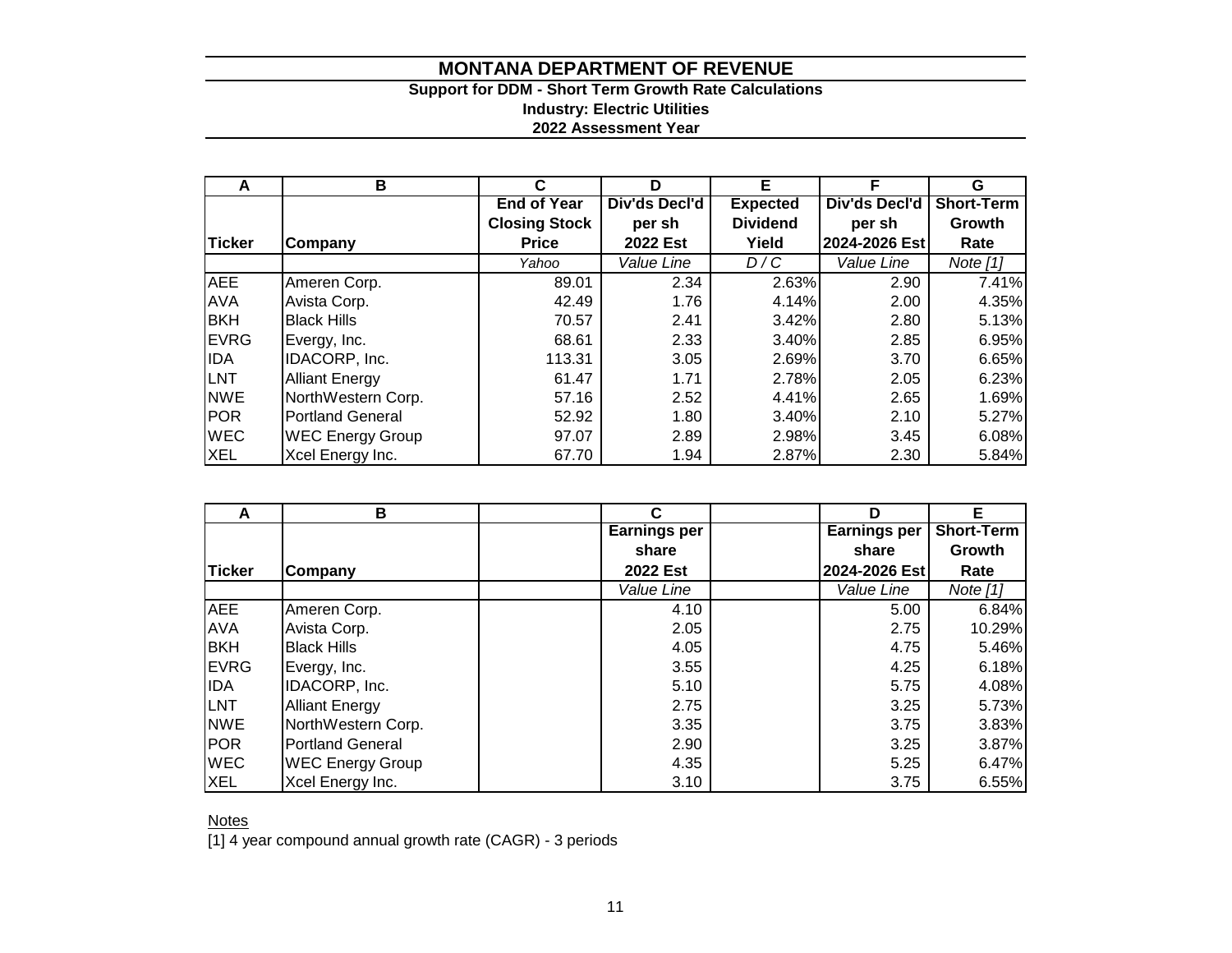### **Support for DDM - Short Term Growth Rate Calculations Industry: Electric Utilities 2022 Assessment Year**

| A            | В                       | C                    | D             | Е               | с             | G                 |  |
|--------------|-------------------------|----------------------|---------------|-----------------|---------------|-------------------|--|
|              |                         | <b>End of Year</b>   | Div'ds Decl'd | <b>Expected</b> | Div'ds Decl'd | <b>Short-Term</b> |  |
|              |                         | <b>Closing Stock</b> | per sh        | <b>Dividend</b> | per sh        | Growth            |  |
| Ticker       | Company                 | <b>Price</b>         | 2022 Est      | Yield           | 2024-2026 Est | Rate              |  |
|              |                         | Yahoo                | Value Line    | D/C             | Value Line    | Note $[1]$        |  |
| <b>AEE</b>   | Ameren Corp.            | 89.01                | 2.34          | 2.63%           | 2.90          | 7.41%             |  |
| <b>AVA</b>   | Avista Corp.            | 42.49                | 1.76          | 4.14%           | 2.00          | 4.35%             |  |
| <b>BKH</b>   | <b>Black Hills</b>      | 70.57                | 2.41          | 3.42%           | 2.80          | 5.13%             |  |
| <b>IEVRG</b> | Evergy, Inc.            | 68.61                | 2.33          | 3.40%           | 2.85          | 6.95%             |  |
| <b>IDA</b>   | IDACORP, Inc.           | 113.31               | 3.05          | 2.69%           | 3.70          | 6.65%             |  |
| <b>LNT</b>   | <b>Alliant Energy</b>   | 61.47                | 1.71          | 2.78%           | 2.05          | 6.23%             |  |
| <b>NWE</b>   | NorthWestern Corp.      | 57.16                | 2.52          | 4.41%           | 2.65          | 1.69%             |  |
| <b>POR</b>   | <b>Portland General</b> | 52.92                | 1.80          | 3.40%           | 2.10          | 5.27%             |  |
| <b>WEC</b>   | <b>WEC Energy Group</b> | 97.07                | 2.89          | 2.98%           | 3.45          | 6.08%             |  |
| <b>XEL</b>   | Xcel Energy Inc.        | 67.70                | 1.94          | 2.87%           | 2.30          | 5.84%             |  |

|               | В                       |                     |      |                     | Е                 |
|---------------|-------------------------|---------------------|------|---------------------|-------------------|
|               |                         | <b>Earnings per</b> |      | <b>Earnings per</b> | <b>Short-Term</b> |
|               |                         | share               |      | share               | Growth            |
| <b>Ticker</b> | Company                 | 2022 Est            |      | 2024-2026 Est       | Rate              |
|               |                         | Value Line          |      | Value Line          | Note $[1]$        |
| <b>AEE</b>    | Ameren Corp.            |                     | 4.10 | 5.00                | 6.84%             |
| <b>AVA</b>    | Avista Corp.            |                     | 2.05 | 2.75                | 10.29%            |
| <b>BKH</b>    | <b>Black Hills</b>      |                     | 4.05 | 4.75                | 5.46%             |
| <b>EVRG</b>   | Evergy, Inc.            |                     | 3.55 | 4.25                | 6.18%             |
| <b>IDA</b>    | IDACORP, Inc.           |                     | 5.10 | 5.75                | 4.08%             |
| <b>LNT</b>    | <b>Alliant Energy</b>   |                     | 2.75 | 3.25                | 5.73%             |
| <b>NWE</b>    | NorthWestern Corp.      |                     | 3.35 | 3.75                | 3.83%             |
| <b>POR</b>    | <b>Portland General</b> |                     | 2.90 | 3.25                | 3.87%             |
| <b>WEC</b>    | <b>WEC Energy Group</b> |                     | 4.35 | 5.25                | 6.47%             |
| <b>XEL</b>    | Xcel Energy Inc.        |                     | 3.10 | 3.75                | 6.55%             |

**Notes** 

[1] 4 year compound annual growth rate (CAGR) - 3 periods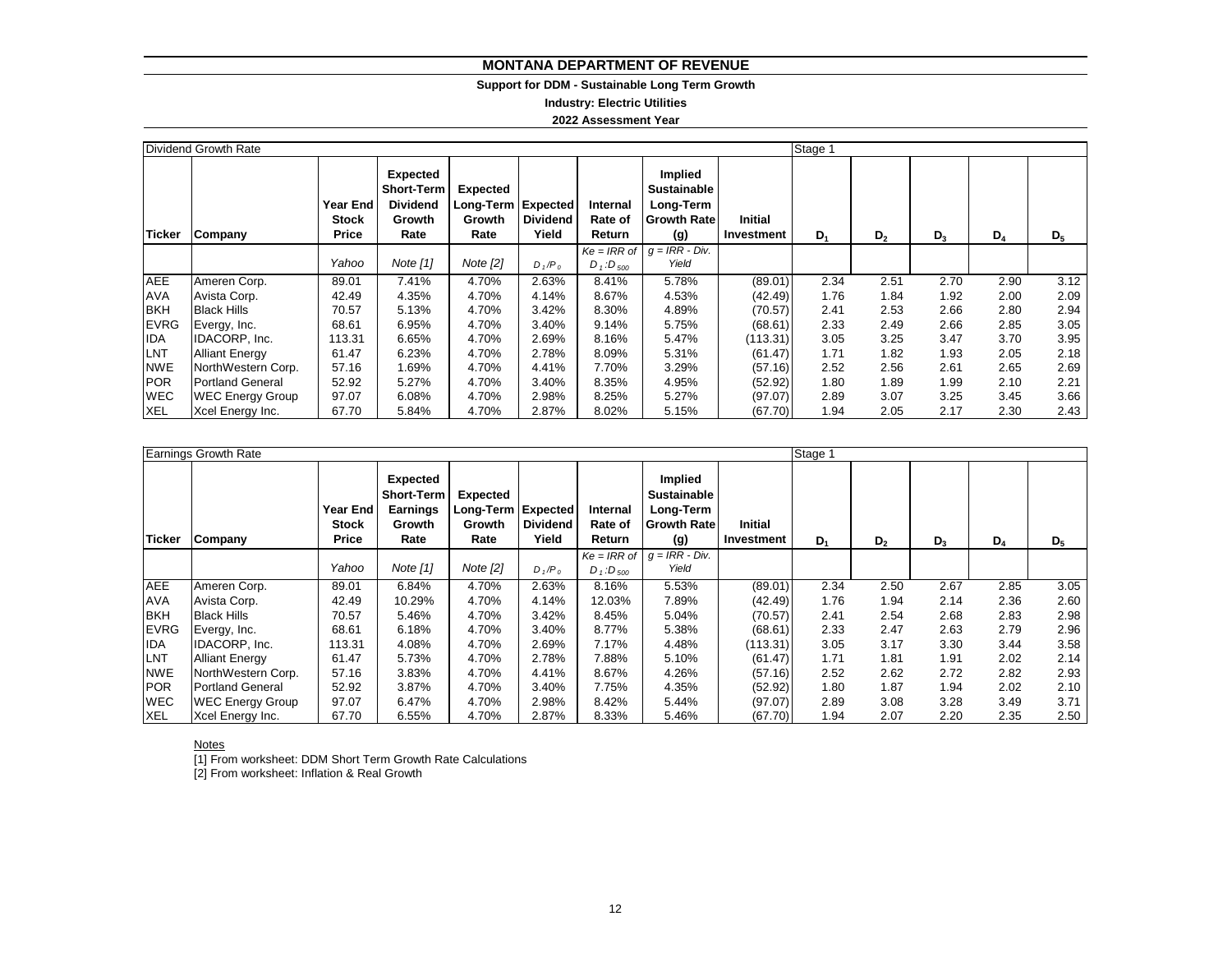#### **Support for DDM - Sustainable Long Term Growth**

**Industry: Electric Utilities**

**2022 Assessment Year**

|               | Dividend Growth Rate    |                                          |                                                                    |                                                                |                          |                                    |                                                                                             |                              | Stage 1 |                |       |       |       |
|---------------|-------------------------|------------------------------------------|--------------------------------------------------------------------|----------------------------------------------------------------|--------------------------|------------------------------------|---------------------------------------------------------------------------------------------|------------------------------|---------|----------------|-------|-------|-------|
| <b>Ticker</b> | Company                 | <b>Year End</b><br><b>Stock</b><br>Price | Expected<br><b>Short-Term</b><br><b>Dividend</b><br>Growth<br>Rate | <b>Expected</b><br>Long-Term Expected<br><b>Growth</b><br>Rate | <b>Dividend</b><br>Yield | Internal<br>Rate of<br>Return      | Implied<br><b>Sustainable</b><br>Long-Term<br><b>Growth Rate</b><br>(g)<br>$g = IRR - Div.$ | <b>Initial</b><br>Investment | $D_1$   | D <sub>2</sub> | $D_3$ | $D_4$ | $D_5$ |
|               |                         | Yahoo                                    | Note $[1]$                                                         | Note $[2]$                                                     | $D_1/P_0$                | $Ke = IRR$ of<br>$D_1$ : $D_{500}$ | Yield                                                                                       |                              |         |                |       |       |       |
| <b>AEE</b>    | Ameren Corp.            | 89.01                                    | 7.41%                                                              | 4.70%                                                          | 2.63%                    | 8.41%                              | 5.78%                                                                                       | (89.01)                      | 2.34    | 2.51           | 2.70  | 2.90  | 3.12  |
| <b>AVA</b>    | Avista Corp.            | 42.49                                    | 4.35%                                                              | 4.70%                                                          | 4.14%                    | 8.67%                              | 4.53%                                                                                       | (42.49)                      | 1.76    | 1.84           | 1.92  | 2.00  | 2.09  |
| <b>BKH</b>    | <b>Black Hills</b>      | 70.57                                    | 5.13%                                                              | 4.70%                                                          | 3.42%                    | 8.30%                              | 4.89%                                                                                       | (70.57)                      | 2.41    | 2.53           | 2.66  | 2.80  | 2.94  |
| <b>EVRG</b>   | Evergy, Inc.            | 68.61                                    | 6.95%                                                              | 4.70%                                                          | 3.40%                    | 9.14%                              | 5.75%                                                                                       | (68.61)                      | 2.33    | 2.49           | 2.66  | 2.85  | 3.05  |
| <b>IDA</b>    | IDACORP, Inc.           | 113.31                                   | 6.65%                                                              | 4.70%                                                          | 2.69%                    | 8.16%                              | 5.47%                                                                                       | (113.31)                     | 3.05    | 3.25           | 3.47  | 3.70  | 3.95  |
| LNT           | <b>Alliant Energy</b>   | 61.47                                    | 6.23%                                                              | 4.70%                                                          | 2.78%                    | 8.09%                              | 5.31%                                                                                       | (61.47)                      | 1.71    | 1.82           | 1.93  | 2.05  | 2.18  |
| <b>NWE</b>    | NorthWestern Corp.      | 57.16                                    | .69%                                                               | 4.70%                                                          | 4.41%                    | 7.70%                              | 3.29%                                                                                       | (57.16)                      | 2.52    | 2.56           | 2.61  | 2.65  | 2.69  |
| <b>POR</b>    | <b>Portland General</b> | 52.92                                    | 5.27%                                                              | 4.70%                                                          | 3.40%                    | 8.35%                              | 4.95%                                                                                       | (52.92)                      | 1.80    | 1.89           | 1.99  | 2.10  | 2.21  |
| <b>WEC</b>    | <b>WEC Energy Group</b> | 97.07                                    | 6.08%                                                              | 4.70%                                                          | 2.98%                    | 8.25%                              | 5.27%                                                                                       | (97.07)                      | 2.89    | 3.07           | 3.25  | 3.45  | 3.66  |
| <b>XEL</b>    | Xcel Energy Inc.        | 67.70                                    | 5.84%                                                              | 4.70%                                                          | 2.87%                    | 8.02%                              | 5.15%                                                                                       | (67.70)                      | 1.94    | 2.05           | 2.17  | 2.30  | 2.43  |

|               | Earnings Growth Rate    |                                   |                                                                           |                                                  |                          |                               |                                                                         |                              | Stage 1 |                |       |       |       |
|---------------|-------------------------|-----------------------------------|---------------------------------------------------------------------------|--------------------------------------------------|--------------------------|-------------------------------|-------------------------------------------------------------------------|------------------------------|---------|----------------|-------|-------|-------|
| <b>Ticker</b> | Company                 | Year End<br><b>Stock</b><br>Price | <b>Expected</b><br><b>Short-Term</b><br><b>Earnings</b><br>Growth<br>Rate | Expected<br>Long-Term Expected<br>Growth<br>Rate | <b>Dividend</b><br>Yield | Internal<br>Rate of<br>Return | Implied<br><b>Sustainable</b><br>Long-Term<br><b>Growth Rate</b><br>(g) | <b>Initial</b><br>Investment | $D_1$   | D <sub>2</sub> | $D_3$ | $D_4$ | $D_5$ |
|               |                         |                                   |                                                                           |                                                  |                          | $Ke = IRR$ of                 | $g = IRR - Div.$                                                        |                              |         |                |       |       |       |
|               |                         | Yahoo                             | Note [1]                                                                  | Note [2]                                         | $D_1/P_0$                | $D_1$ : $D_{500}$             | Yield                                                                   |                              |         |                |       |       |       |
| <b>AEE</b>    | Ameren Corp.            | 89.01                             | 6.84%                                                                     | 4.70%                                            | 2.63%                    | 8.16%                         | 5.53%                                                                   | (89.01)                      | 2.34    | 2.50           | 2.67  | 2.85  | 3.05  |
| <b>AVA</b>    | Avista Corp.            | 42.49                             | 10.29%                                                                    | 4.70%                                            | 4.14%                    | 12.03%                        | 7.89%                                                                   | (42.49)                      | 1.76    | 1.94           | 2.14  | 2.36  | 2.60  |
| <b>BKH</b>    | <b>Black Hills</b>      | 70.57                             | 5.46%                                                                     | 4.70%                                            | 3.42%                    | 8.45%                         | 5.04%                                                                   | (70.57)                      | 2.41    | 2.54           | 2.68  | 2.83  | 2.98  |
| <b>EVRG</b>   | Evergy, Inc.            | 68.61                             | 6.18%                                                                     | 4.70%                                            | 3.40%                    | 8.77%                         | 5.38%                                                                   | (68.61)                      | 2.33    | 2.47           | 2.63  | 2.79  | 2.96  |
| <b>IDA</b>    | IDACORP, Inc.           | 113.31                            | 4.08%                                                                     | 4.70%                                            | 2.69%                    | 7.17%                         | 4.48%                                                                   | (113.31)                     | 3.05    | 3.17           | 3.30  | 3.44  | 3.58  |
| LNT           | <b>Alliant Energy</b>   | 61.47                             | 5.73%                                                                     | 4.70%                                            | 2.78%                    | 7.88%                         | 5.10%                                                                   | (61.47)                      | 1.71    | 1.81           | 1.91  | 2.02  | 2.14  |
| <b>NWE</b>    | NorthWestern Corp.      | 57.16                             | 3.83%                                                                     | 4.70%                                            | 4.41%                    | 8.67%                         | 4.26%                                                                   | (57.16)                      | 2.52    | 2.62           | 2.72  | 2.82  | 2.93  |
| <b>POR</b>    | <b>Portland General</b> | 52.92                             | 3.87%                                                                     | 4.70%                                            | 3.40%                    | 7.75%                         | 4.35%                                                                   | (52.92)                      | 1.80    | 1.87           | 1.94  | 2.02  | 2.10  |
| <b>WEC</b>    | <b>WEC Energy Group</b> | 97.07                             | 6.47%                                                                     | 4.70%                                            | 2.98%                    | 8.42%                         | 5.44%                                                                   | (97.07)                      | 2.89    | 3.08           | 3.28  | 3.49  | 3.71  |
| <b>XEL</b>    | Xcel Energy Inc.        | 67.70                             | 6.55%                                                                     | 4.70%                                            | 2.87%                    | 8.33%                         | 5.46%                                                                   | (67.70)                      | 1.94    | 2.07           | 2.20  | 2.35  | 2.50  |

#### Notes

[1] From worksheet: DDM Short Term Growth Rate Calculations

[2] From worksheet: Inflation & Real Growth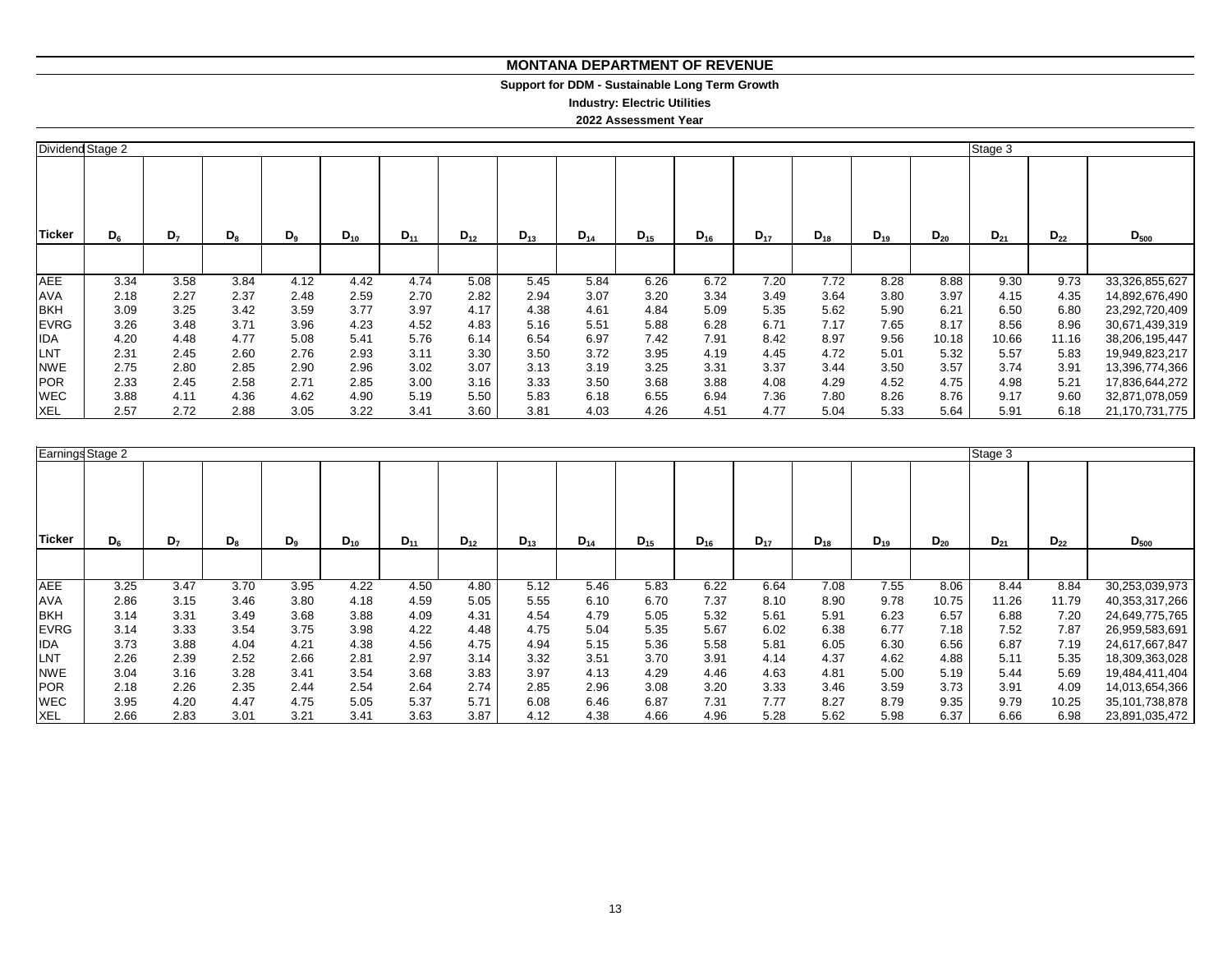#### **MONTANA DEPARTMENT OF REVENUE MONTANA DEPARTMENT OF REVENUE**

#### **Support for DDM - Sustainable Long Term Growth Support for DDM - Sustainable Long Term Growth**

**Industry: Electric Utilities Industry: Electric Utilities**

**2022 Assessment Year**

|               | Dividend Stage 2 |                |       |         |          |          |          |          |          |          |          |          |          |          |          | Stage 3  |          |                |
|---------------|------------------|----------------|-------|---------|----------|----------|----------|----------|----------|----------|----------|----------|----------|----------|----------|----------|----------|----------------|
| <b>Ticker</b> | $D_{6}$          | D <sub>7</sub> | $D_8$ | $D_{9}$ | $D_{10}$ | $D_{11}$ | $D_{12}$ | $D_{13}$ | $D_{14}$ | $D_{15}$ | $D_{16}$ | $D_{17}$ | $D_{18}$ | $D_{19}$ | $D_{20}$ | $D_{21}$ | $D_{22}$ | $D_{500}$      |
|               |                  |                |       |         |          |          |          |          |          |          |          |          |          |          |          |          |          |                |
| <b>AEE</b>    | 3.34             | 3.58           | 3.84  | 4.12    | 4.42     | 4.74     | 5.08     | 5.45     | 5.84     | 6.26     | 6.72     | 7.20     | 7.72     | 8.28     | 8.88     | 9.30     | 9.73     | 33,326,855,627 |
| <b>AVA</b>    | 2.18             | 2.27           | 2.37  | 2.48    | 2.59     | 2.70     | 2.82     | 2.94     | 3.07     | 3.20     | 3.34     | 3.49     | 3.64     | 3.80     | 3.97     | 4.15     | 4.35     | 14,892,676,490 |
| <b>BKH</b>    | 3.09             | 3.25           | 3.42  | 3.59    | 3.77     | 3.97     | 4.17     | 4.38     | 4.61     | 4.84     | 5.09     | 5.35     | 5.62     | 5.90     | 6.21     | 6.50     | 6.80     | 23,292,720,409 |
| <b>EVRG</b>   | 3.26             | 3.48           | 3.71  | 3.96    | 4.23     | 4.52     | 4.83     | 5.16     | 5.51     | 5.88     | 6.28     | 6.71     | 7.17     | 7.65     | 8.17     | 8.56     | 8.96     | 30,671,439,319 |
| <b>IDA</b>    | 4.20             | 4.48           | 4.77  | 5.08    | 5.41     | 5.76     | 6.14     | 6.54     | 6.97     | 7.42     | 7.91     | 8.42     | 8.97     | 9.56     | 10.18    | 10.66    | 11.16    | 38,206,195,447 |
| LNT           | 2.31             | 2.45           | 2.60  | 2.76    | 2.93     | 3.11     | 3.30     | 3.50     | 3.72     | 3.95     | 4.19     | 4.45     | 4.72     | 5.01     | 5.32     | 5.57     | 5.83     | 19,949,823,217 |
| <b>NWE</b>    | 2.75             | 2.80           | 2.85  | 2.90    | 2.96     | 3.02     | 3.07     | 3.13     | 3.19     | 3.25     | 3.31     | 3.37     | 3.44     | 3.50     | 3.57     | 3.74     | 3.91     | 13,396,774,366 |
| <b>POR</b>    | 2.33             | 2.45           | 2.58  | 2.71    | 2.85     | 3.00     | 3.16     | 3.33     | 3.50     | 3.68     | 3.88     | 4.08     | 4.29     | 4.52     | 4.75     | 4.98     | 5.21     | 17,836,644,272 |
| <b>WEC</b>    | 3.88             | 4.11           | 4.36  | 4.62    | 4.90     | 5.19     | 5.50     | 5.83     | 6.18     | 6.55     | 6.94     | 7.36     | 7.80     | 8.26     | 8.76     | 9.17     | 9.60     | 32,871,078,059 |
| <b>XEL</b>    | 2.57             | 2.72           | 2.88  | 3.05    | 3.22     | 3.41     | 3.60     | 3.81     | 4.03     | 4.26     | 4.51     | 4.77     | 5.04     | 5.33     | 5.64     | 5.91     | 6.18     | 21,170,731,775 |

|             | Earnings Stage 2<br>Stage 3 |                |       |       |          |          |          |          |          |          |          |          |          |          |          |          |          |                |
|-------------|-----------------------------|----------------|-------|-------|----------|----------|----------|----------|----------|----------|----------|----------|----------|----------|----------|----------|----------|----------------|
| Ticker      | $D_6$                       | D <sub>7</sub> | $D_8$ | $D_9$ | $D_{10}$ | $D_{11}$ | $D_{12}$ | $D_{13}$ | $D_{14}$ | $D_{15}$ | $D_{16}$ | $D_{17}$ | $D_{18}$ | $D_{19}$ | $D_{20}$ | $D_{21}$ | $D_{22}$ | $D_{500}$      |
|             |                             |                |       |       |          |          |          |          |          |          |          |          |          |          |          |          |          |                |
| <b>AEE</b>  | 3.25                        | 3.47           | 3.70  | 3.95  | 4.22     | 4.50     | 4.80     | 5.12     | 5.46     | 5.83     | 6.22     | 6.64     | 7.08     | 7.55     | 8.06     | 8.44     | 8.84     | 30,253,039,973 |
| <b>AVA</b>  | 2.86                        | 3.15           | 3.46  | 3.80  | 4.18     | 4.59     | 5.05     | 5.55     | 6.10     | 6.70     | 7.37     | 8.10     | 8.90     | 9.78     | 10.75    | 11.26    | 11.79    | 40,353,317,266 |
| <b>BKH</b>  | 3.14                        | 3.31           | 3.49  | 3.68  | 3.88     | 4.09     | 4.31     | 4.54     | 4.79     | 5.05     | 5.32     | 5.61     | 5.91     | 6.23     | 6.57     | 6.88     | 7.20     | 24,649,775,765 |
| <b>EVRG</b> | 3.14                        | 3.33           | 3.54  | 3.75  | 3.98     | 4.22     | 4.48     | 4.75     | 5.04     | 5.35     | 5.67     | 6.02     | 6.38     | 6.77     | 7.18     | 7.52     | 7.87     | 26,959,583,691 |
| <b>IDA</b>  | 3.73                        | 3.88           | 4.04  | 4.21  | 4.38     | 4.56     | 4.75     | 4.94     | 5.15     | 5.36     | 5.58     | 5.81     | 6.05     | 6.30     | 6.56     | 6.87     | 7.19     | 24,617,667,847 |
| LNT         | 2.26                        | 2.39           | 2.52  | 2.66  | 2.81     | 2.97     | 3.14     | 3.32     | 3.51     | 3.70     | 3.91     | 4.14     | 4.37     | 4.62     | 4.88     | 5.11     | 5.35     | 18,309,363,028 |
| <b>NWE</b>  | 3.04                        | 3.16           | 3.28  | 3.41  | 3.54     | 3.68     | 3.83     | 3.97     | 4.13     | 4.29     | 4.46     | 4.63     | 4.81     | 5.00     | 5.19     | 5.44     | 5.69     | 19,484,411,404 |
| <b>POR</b>  | 2.18                        | 2.26           | 2.35  | 2.44  | 2.54     | 2.64     | 2.74     | 2.85     | 2.96     | 3.08     | 3.20     | 3.33     | 3.46     | 3.59     | 3.73     | 3.91     | 4.09     | 14,013,654,366 |
| <b>WEC</b>  | 3.95                        | 4.20           | 4.47  | 4.75  | 5.05     | 5.37     | 5.71     | 6.08     | 6.46     | 6.87     | 7.31     | 7.77     | 8.27     | 8.79     | 9.35     | 9.79     | 10.25    | 35,101,738,878 |
| <b>XEL</b>  | 2.66                        | 2.83           | 3.01  | 3.21  | 3.41     | 3.63     | 3.87     | 4.12     | 4.38     | 4.66     | 4.96     | 5.28     | 5.62     | 5.98     | 6.37     | 6.66     | 6.98     | 23,891,035,472 |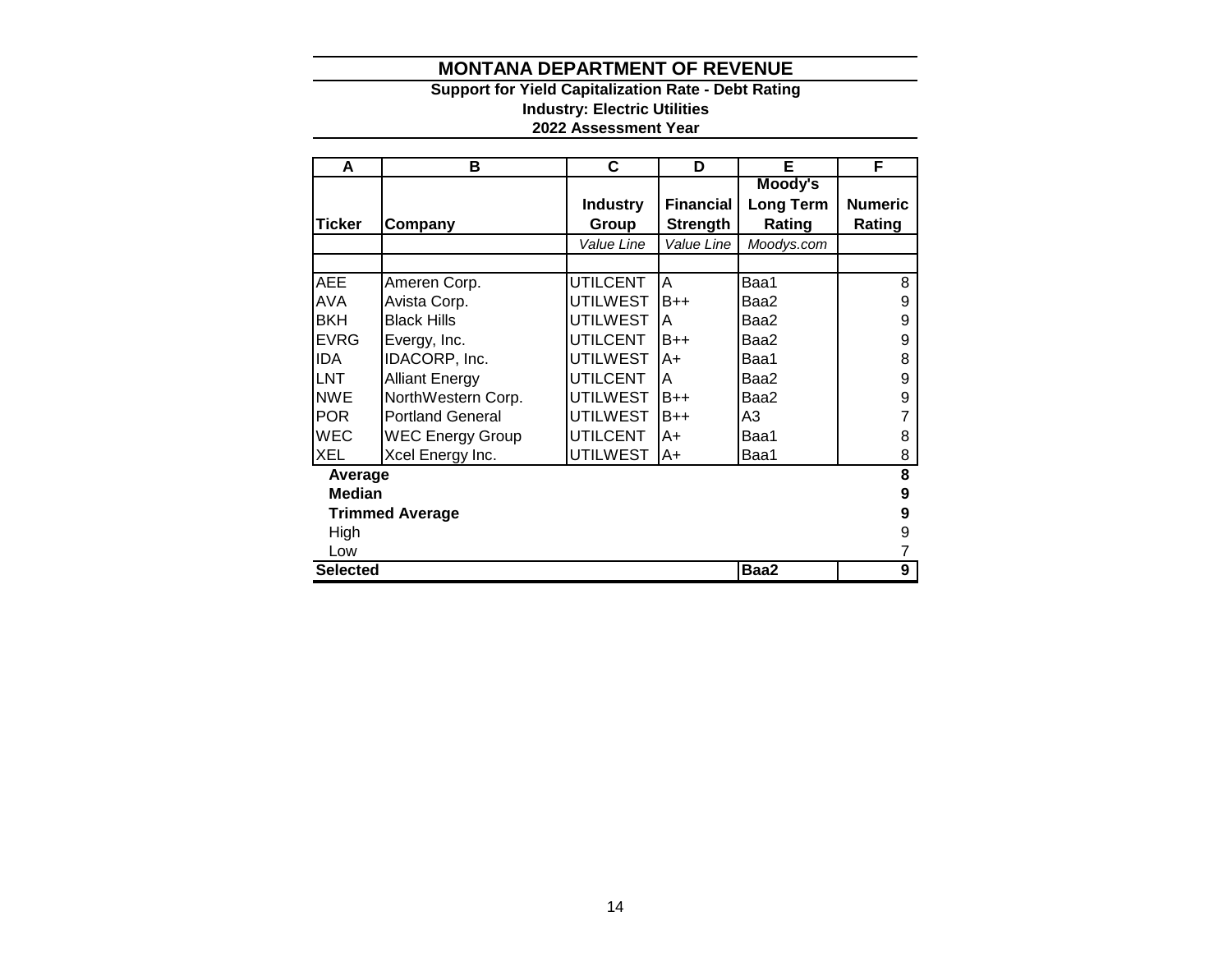#### **Support for Yield Capitalization Rate - Debt Rating Industry: Electric Utilities 2022 Assessment Year**

| A               | в                       | C               | D                | Е                | F              |
|-----------------|-------------------------|-----------------|------------------|------------------|----------------|
|                 |                         |                 |                  | Moody's          |                |
|                 |                         | <b>Industry</b> | <b>Financial</b> | <b>Long Term</b> | <b>Numeric</b> |
| <b>Ticker</b>   | Company                 | Group           | <b>Strength</b>  | Rating           | Rating         |
|                 |                         | Value Line      | Value Line       | Moodys.com       |                |
|                 |                         |                 |                  |                  |                |
| <b>AEE</b>      | Ameren Corp.            | <b>UTILCENT</b> | A                | Baa1             | 8              |
| <b>AVA</b>      | Avista Corp.            | <b>UTILWEST</b> | $B++$            | Baa2             | 9              |
| <b>BKH</b>      | <b>Black Hills</b>      | <b>UTILWEST</b> | A                | Baa2             | 9              |
| <b>EVRG</b>     | Evergy, Inc.            | <b>UTILCENT</b> | $B++$            | Baa2             | 9              |
| <b>IDA</b>      | IDACORP, Inc.           | <b>UTILWEST</b> | A+               | Baa1             | 8              |
| LNT             | <b>Alliant Energy</b>   | <b>UTILCENT</b> | A                | Baa2             | 9              |
| <b>NWE</b>      | NorthWestern Corp.      | <b>UTILWEST</b> | $B++$            | Baa2             | 9              |
| <b>POR</b>      | <b>Portland General</b> | <b>UTILWEST</b> | $B++$            | A3               | $\overline{7}$ |
| <b>WEC</b>      | <b>WEC Energy Group</b> | <b>UTILCENT</b> | A+               | Baa1             | 8              |
| <b>XEL</b>      | Xcel Energy Inc.        | <b>UTILWEST</b> | A+               | Baa1             | 8              |
| Average         |                         |                 |                  |                  | 8              |
| <b>Median</b>   |                         |                 |                  |                  | 9              |
|                 | <b>Trimmed Average</b>  |                 |                  |                  | 9              |
| High            |                         |                 |                  |                  | 9              |
| Low             |                         |                 |                  |                  |                |
| <b>Selected</b> |                         |                 |                  | Baa2             | 9              |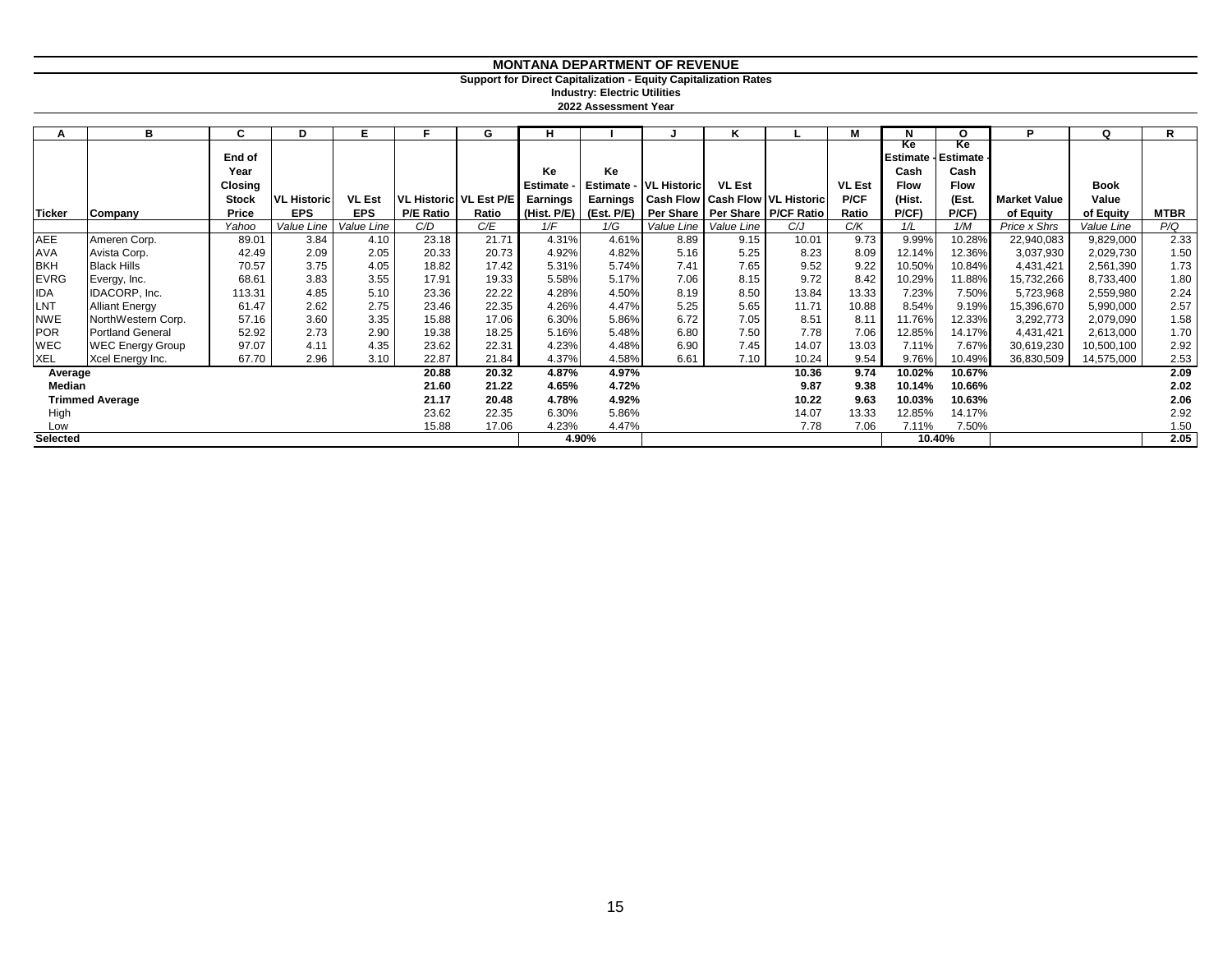#### **Support for Direct Capitalization - Equity Capitalization Rates**

**2022 Assessment Year Industry: Electric Utilities**

| А               | в                       | C.           | D                  | Е             | Е                | G                        | н               |          |                        | ĸ             |                                               | м             | N           | O           | P                   | Q          | R           |
|-----------------|-------------------------|--------------|--------------------|---------------|------------------|--------------------------|-----------------|----------|------------------------|---------------|-----------------------------------------------|---------------|-------------|-------------|---------------------|------------|-------------|
|                 |                         |              |                    |               |                  |                          |                 |          |                        |               |                                               |               | Ke          | Ke          |                     |            |             |
|                 |                         | End of       |                    |               |                  |                          |                 |          |                        |               |                                               |               | Estimate -  | Estimate -  |                     |            |             |
|                 |                         | Year         |                    |               |                  |                          | Ke              | Ke       |                        |               |                                               |               | Cash        | Cash        |                     |            |             |
|                 |                         | Closing      |                    |               |                  |                          | Estimate -      |          | Estimate - VL Historic | <b>VL Est</b> |                                               | <b>VL Est</b> | <b>Flow</b> | <b>Flow</b> |                     | Book       |             |
|                 |                         | <b>Stock</b> | <b>VL Historic</b> | <b>VL Est</b> |                  | VL Historic   VL Est P/E | <b>Earnings</b> | Earnings |                        |               | <b>Cash Flow Cash Flow VL Historic</b>        | P/CF          | (Hist.      | (Est.       | <b>Market Value</b> | Value      |             |
| <b>Ticker</b>   | Company                 | Price        | <b>EPS</b>         | <b>EPS</b>    | <b>P/E Ratio</b> | Ratio                    | (Hist. $P/E$ )  |          |                        |               | (Est. P/E) Per Share   Per Share   P/CF Ratio | Ratio         | P/CF        | P(CF)       | of Equity           | of Equity  | <b>MTBR</b> |
|                 |                         | Yahoo        | Value Line         | Value Line    | C/D              | C/E                      | 1/F             | 1/G      | Value Line             | Value Line    | C/J                                           | C/K           | 1/L         | 1/M         | Price x Shrs        | Value Line | P/Q         |
| <b>AEE</b>      | Ameren Corp.            | 89.01        | 3.84               | 4.10          | 23.18            | 21.71                    | 4.31%           | 4.61%    | 8.89                   | 9.15          | 10.01                                         | 9.73          | 9.99%       | 10.28%      | 22,940,083          | 9,829,000  | 2.33        |
| <b>AVA</b>      | Avista Corp.            | 42.49        | 2.09               | 2.05          | 20.33            | 20.73                    | 4.92%           | 4.82%    | 5.16                   | 5.25          | 8.23                                          | 8.09          | 12.14%      | 12.36%      | 3,037,930           | 2,029,730  | 1.50        |
| <b>BKH</b>      | <b>Black Hills</b>      | 70.57        | 3.75               | 4.05          | 18.82            | 17.42                    | 5.31%           | 5.74%    | 7.41                   | 7.65          | 9.52                                          | 9.22          | 10.50%      | 10.84%      | 4,431,421           | 2,561,390  | 1.73        |
| <b>EVRG</b>     | Evergy, Inc.            | 68.61        | 3.83               | 3.55          | 17.91            | 19.33                    | 5.58%           | 5.17%    | 7.06                   | 8.15          | 9.72                                          | 8.42          | 10.29%      | 11.88%      | 15,732,266          | 8,733,400  | 1.80        |
| IDA             | IDACORP, Inc.           | 113.31       | 4.85               | 5.10          | 23.36            | 22.22                    | 4.28%           | 4.50%    | 8.19                   | 8.50          | 13.84                                         | 13.33         | 7.23%       | 7.50%       | 5,723,968           | 2,559,980  | 2.24        |
| LNT             | <b>Alliant Energy</b>   | 61.47        | 2.62               | 2.75          | 23.46            | 22.35                    | 4.26%           | 4.47%    | 5.25                   | 5.65          | 11.71                                         | 10.88         | 8.54%       | 9.19%       | 15,396,670          | 5,990,000  | 2.57        |
| <b>NWE</b>      | NorthWestern Corp.      | 57.16        | 3.60               | 3.35          | 15.88            | 17.06                    | 6.30%           | 5.86%    | 6.72                   | 7.05          | 8.51                                          | 8.11          | 11.76%      | 12.33%      | 3,292,773           | 2,079,090  | 1.58        |
| <b>POR</b>      | <b>Portland General</b> | 52.92        | 2.73               | 2.90          | 19.38            | 18.25                    | 5.16%           | 5.48%    | 6.80                   | 7.50          | 7.78                                          | 7.06          | 12.85%      | 14.17%      | 4,431,421           | 2,613,000  | 1.70        |
| <b>WEC</b>      | <b>WEC Energy Group</b> | 97.07        | 4.11               | 4.35          | 23.62            | 22.31                    | 4.23%           | 4.48%    | 6.90                   | 7.45          | 14.07                                         | 13.03         | 7.11%       | 7.67%       | 30,619,230          | 10,500,100 | 2.92        |
| <b>XEL</b>      | Xcel Energy Inc.        | 67.70        | 2.96               | 3.10          | 22.87            | 21.84                    | 4.37%           | 4.58%    | 6.61                   | 7.10          | 10.24                                         | 9.54          | 9.76%       | 10.49%      | 36,830,509          | 14,575,000 | 2.53        |
| Average         |                         |              |                    |               | 20.88            | 20.32                    | 4.87%           | 4.97%    |                        |               | 10.36                                         | 9.74          | 10.02%      | 10.67%      |                     |            | 2.09        |
| Median          |                         |              |                    |               | 21.60            | 21.22                    | 4.65%           | 4.72%    |                        |               | 9.87                                          | 9.38          | 10.14%      | 10.66%      |                     |            | 2.02        |
|                 | <b>Trimmed Average</b>  |              |                    |               | 21.17            | 20.48                    | 4.78%           | 4.92%    |                        |               | 10.22                                         | 9.63          | 10.03%      | 10.63%      |                     |            | 2.06        |
| High            |                         |              |                    |               | 23.62            | 22.35                    | 6.30%           | 5.86%    |                        |               | 14.07                                         | 13.33         | 12.85%      | 14.17%      |                     |            | 2.92        |
| Low             |                         |              |                    |               | 15.88            | 17.06                    | 4.23%           | 4.47%    |                        |               | 7.78                                          | 7.06          | 7.11%       | 7.50%       |                     |            | 1.50        |
| <b>Selected</b> |                         |              |                    |               |                  |                          |                 | 4.90%    |                        |               |                                               |               |             | 10.40%      |                     |            | 2.05        |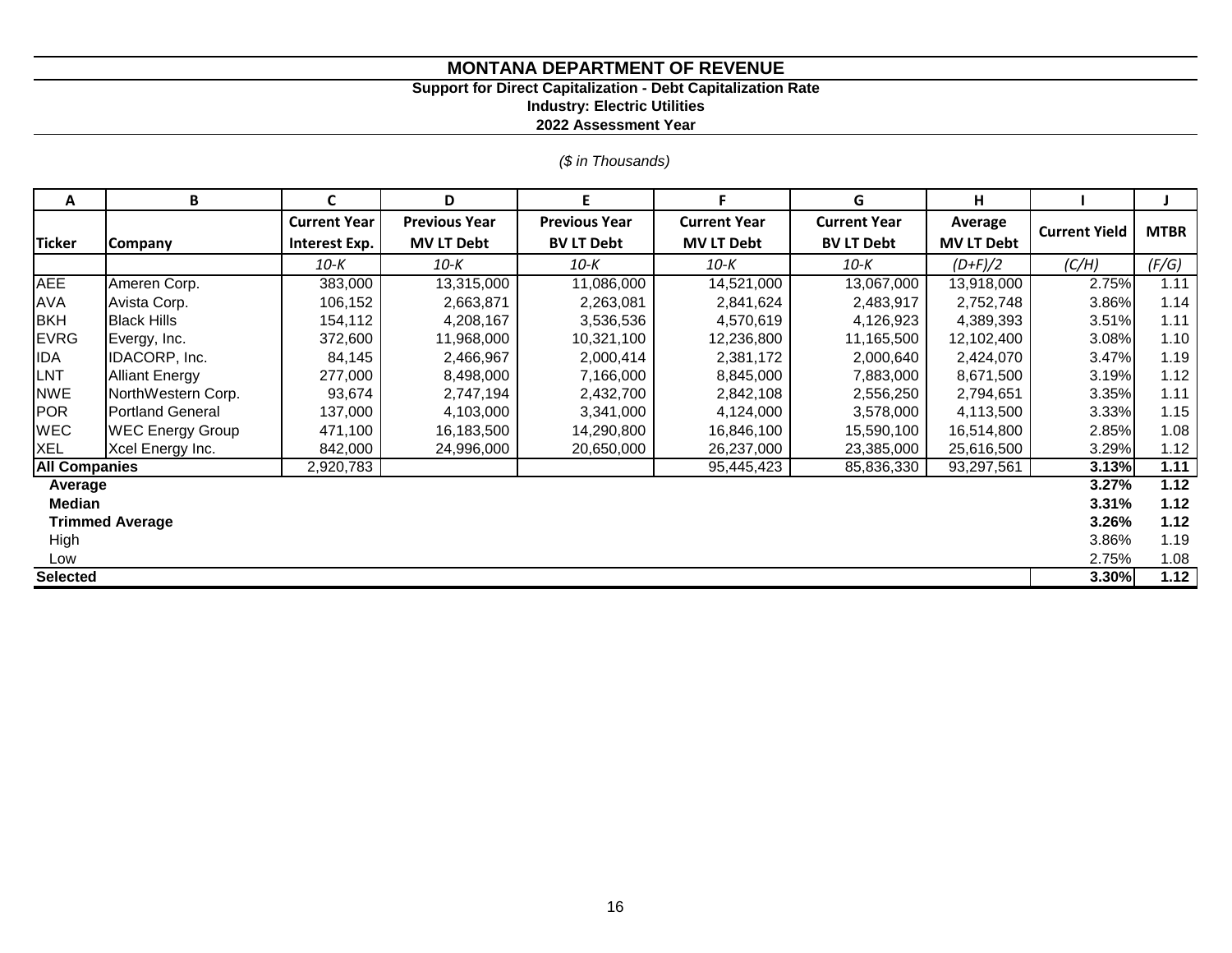# **Support for Direct Capitalization - Debt Capitalization Rate**

**Industry: Electric Utilities**

**2022 Assessment Year**

*(\$ in Thousands)*

| Α                    | B                       | C                   | D                    | F                    | F                   | G                   | н                 |                      |             |
|----------------------|-------------------------|---------------------|----------------------|----------------------|---------------------|---------------------|-------------------|----------------------|-------------|
|                      |                         | <b>Current Year</b> | <b>Previous Year</b> | <b>Previous Year</b> | <b>Current Year</b> | <b>Current Year</b> | Average           | <b>Current Yield</b> | <b>MTBR</b> |
| <b>Ticker</b>        | <b>Company</b>          | Interest Exp.       | <b>MV LT Debt</b>    | <b>BV LT Debt</b>    | <b>MV LT Debt</b>   | <b>BV LT Debt</b>   | <b>MV LT Debt</b> |                      |             |
|                      |                         | 10-K                | 10-K                 | 10-К                 | 10-K                | 10-К                | $(D+F)/2$         | (C/H)                | (F/G)       |
| <b>AEE</b>           | Ameren Corp.            | 383,000             | 13,315,000           | 11,086,000           | 14,521,000          | 13,067,000          | 13,918,000        | 2.75%                | 1.11        |
| <b>AVA</b>           | Avista Corp.            | 106,152             | 2,663,871            | 2,263,081            | 2,841,624           | 2,483,917           | 2,752,748         | 3.86%                | 1.14        |
| <b>BKH</b>           | <b>Black Hills</b>      | 154,112             | 4,208,167            | 3,536,536            | 4,570,619           | 4,126,923           | 4,389,393         | 3.51%                | 1.11        |
| <b>EVRG</b>          | Evergy, Inc.            | 372,600             | 11,968,000           | 10,321,100           | 12,236,800          | 11,165,500          | 12,102,400        | 3.08%                | 1.10        |
| <b>IDA</b>           | IDACORP, Inc.           | 84,145              | 2,466,967            | 2,000,414            | 2,381,172           | 2,000,640           | 2,424,070         | 3.47%                | 1.19        |
| LNT                  | <b>Alliant Energy</b>   | 277,000             | 8,498,000            | 7,166,000            | 8,845,000           | 7,883,000           | 8,671,500         | 3.19%                | 1.12        |
| <b>NWE</b>           | NorthWestern Corp.      | 93,674              | 2,747,194            | 2,432,700            | 2,842,108           | 2,556,250           | 2,794,651         | 3.35%                | 1.11        |
| POR                  | <b>Portland General</b> | 137,000             | 4,103,000            | 3,341,000            | 4,124,000           | 3,578,000           | 4,113,500         | 3.33%                | 1.15        |
| <b>WEC</b>           | <b>WEC Energy Group</b> | 471,100             | 16,183,500           | 14,290,800           | 16,846,100          | 15,590,100          | 16,514,800        | 2.85%                | 1.08        |
| <b>XEL</b>           | Xcel Energy Inc.        | 842,000             | 24,996,000           | 20,650,000           | 26,237,000          | 23,385,000          | 25,616,500        | 3.29%                | 1.12        |
| <b>All Companies</b> |                         | 2,920,783           |                      |                      | 95,445,423          | 85,836,330          | 93,297,561        | 3.13%                | 1.11        |
| Average              |                         |                     |                      |                      |                     |                     |                   | 3.27%                | 1.12        |
| Median               |                         |                     |                      |                      |                     |                     |                   | 3.31%                | 1.12        |
|                      | <b>Trimmed Average</b>  |                     |                      |                      |                     |                     |                   | 3.26%                | 1.12        |
| High                 |                         |                     |                      |                      |                     |                     |                   | 3.86%                | 1.19        |
| Low                  |                         |                     |                      |                      |                     |                     |                   | 2.75%                | 1.08        |
| <b>Selected</b>      |                         |                     |                      |                      |                     |                     |                   | 3.30%                | 1.12        |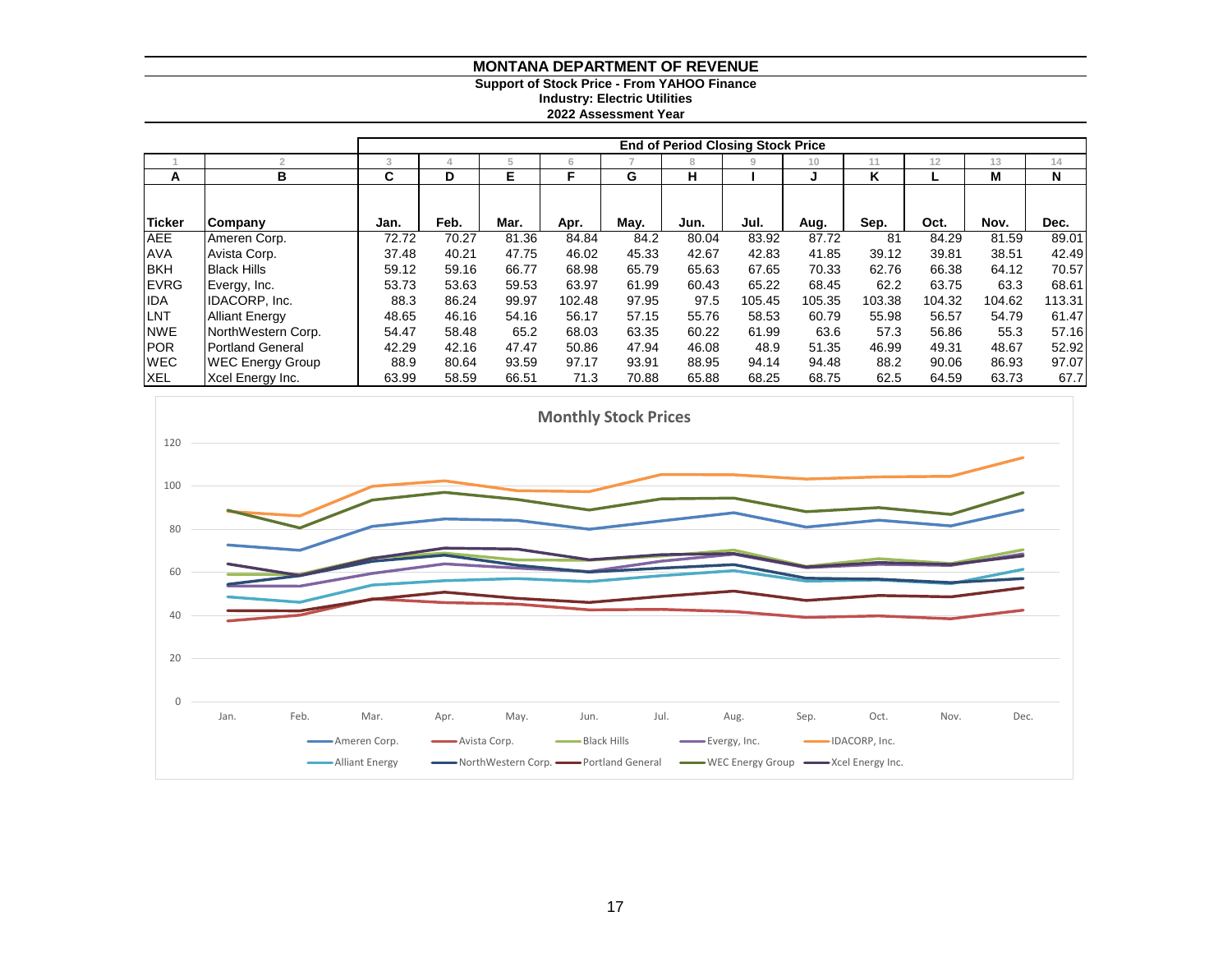#### **Support of Stock Price - From YAHOO Finance**

**Industry: Electric Utilities**

**2022 Assessment Year**

|               |                         | <b>End of Period Closing Stock Price</b> |       |       |        |       |       |        |        |        |        |        |        |  |  |
|---------------|-------------------------|------------------------------------------|-------|-------|--------|-------|-------|--------|--------|--------|--------|--------|--------|--|--|
|               |                         | 3                                        | 4     | ÷.    | 6.     |       | 8     | 9      | 10     | 11     | 12     | 13     | 14     |  |  |
| A             | в                       |                                          | D     | Е     | F      | G     | н     |        | J      | K      |        | М      | N      |  |  |
|               |                         |                                          |       |       |        |       |       |        |        |        |        |        |        |  |  |
| <b>Ticker</b> | Company                 | Jan.                                     | Feb.  | Mar.  | Apr.   | May.  | Jun.  | Jul.   | Aug.   | Sep.   | Oct.   | Nov.   | Dec.   |  |  |
| <b>AEE</b>    | Ameren Corp.            | 72.72                                    | 70.27 | 81.36 | 84.84  | 84.2  | 80.04 | 83.92  | 87.72  | 81     | 84.29  | 81.59  | 89.01  |  |  |
| <b>AVA</b>    | Avista Corp.            | 37.48                                    | 40.21 | 47.75 | 46.02  | 45.33 | 42.67 | 42.83  | 41.85  | 39.12  | 39.81  | 38.51  | 42.49  |  |  |
| <b>BKH</b>    | <b>Black Hills</b>      | 59.12                                    | 59.16 | 66.77 | 68.98  | 65.79 | 65.63 | 67.65  | 70.33  | 62.76  | 66.38  | 64.12  | 70.57  |  |  |
| <b>EVRG</b>   | Evergy, Inc.            | 53.73                                    | 53.63 | 59.53 | 63.97  | 61.99 | 60.43 | 65.22  | 68.45  | 62.2   | 63.75  | 63.3   | 68.61  |  |  |
| <b>IDA</b>    | IDACORP, Inc.           | 88.3                                     | 86.24 | 99.97 | 102.48 | 97.95 | 97.5  | 105.45 | 105.35 | 103.38 | 104.32 | 104.62 | 113.31 |  |  |
| LNT           | <b>Alliant Energy</b>   | 48.65                                    | 46.16 | 54.16 | 56.17  | 57.15 | 55.76 | 58.53  | 60.79  | 55.98  | 56.57  | 54.79  | 61.47  |  |  |
| <b>NWE</b>    | NorthWestern Corp.      | 54.47                                    | 58.48 | 65.2  | 68.03  | 63.35 | 60.22 | 61.99  | 63.6   | 57.3   | 56.86  | 55.3   | 57.16  |  |  |
| <b>POR</b>    | <b>Portland General</b> | 42.29                                    | 42.16 | 47.47 | 50.86  | 47.94 | 46.08 | 48.9   | 51.35  | 46.99  | 49.31  | 48.67  | 52.92  |  |  |
| <b>WEC</b>    | <b>WEC Energy Group</b> | 88.9                                     | 80.64 | 93.59 | 97.17  | 93.91 | 88.95 | 94.14  | 94.48  | 88.2   | 90.06  | 86.93  | 97.07  |  |  |
| <b>XEL</b>    | Xcel Energy Inc.        | 63.99                                    | 58.59 | 66.51 | 71.3   | 70.88 | 65.88 | 68.25  | 68.75  | 62.5   | 64.59  | 63.73  | 67.7   |  |  |